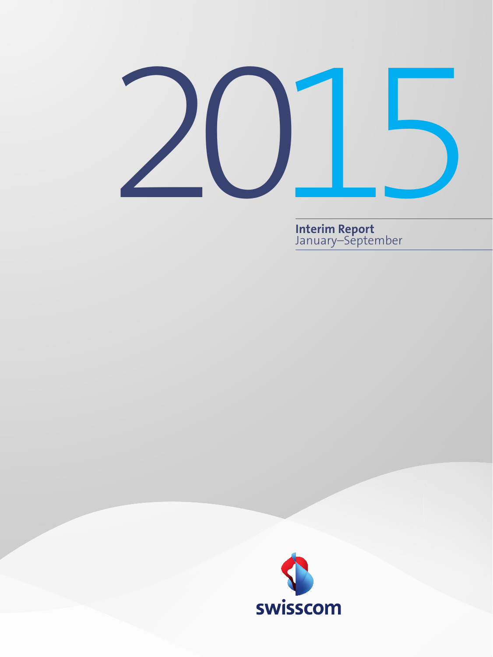

**Interim Report** January–September

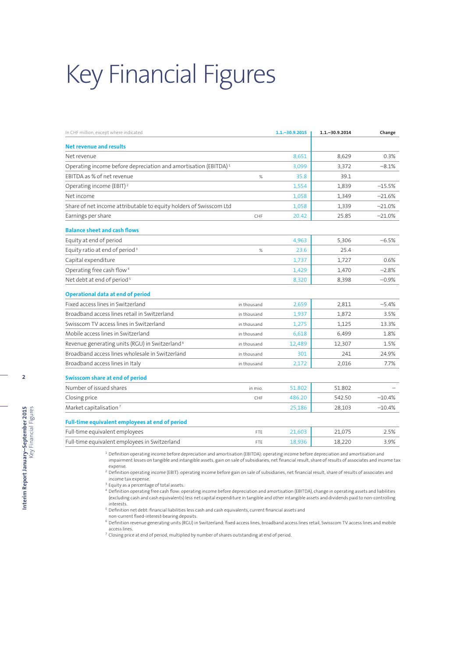# Key Financial Figures

| In CHF million, except where indicated                                      |             | $1.1 - 30.9.2015$ | $1.1 - 30.9.2014$ | Change   |
|-----------------------------------------------------------------------------|-------------|-------------------|-------------------|----------|
| Net revenue and results                                                     |             |                   |                   |          |
| Net revenue                                                                 |             | 8,651             | 8.629             | 0.3%     |
| Operating income before depreciation and amortisation (EBITDA) <sup>1</sup> |             | 3,099             | 3,372             | $-8.1%$  |
| EBITDA as % of net revenue                                                  | %           | 35.8              | 39.1              |          |
| Operating income (EBIT) <sup>2</sup>                                        |             | 1,554             | 1,839             | $-15.5%$ |
| Net income                                                                  |             | 1,058             | 1,349             | $-21.6%$ |
| Share of net income attributable to equity holders of Swisscom Ltd          |             | 1,058             | 1,339             | $-21.0%$ |
| Earnings per share                                                          | CHF         | 20.42             | 25.85             | $-21.0%$ |
| <b>Balance sheet and cash flows</b>                                         |             |                   |                   |          |
| Equity at end of period                                                     |             | 4,963             | 5,306             | $-6.5%$  |
| Equity ratio at end of period <sup>3</sup>                                  | %           | 23.6              | 25.4              |          |
| Capital expenditure                                                         |             | 1,737             | 1,727             | 0.6%     |
| Operating free cash flow <sup>4</sup>                                       |             | 1,429             | 1,470             | $-2.8%$  |
| Net debt at end of period <sup>5</sup>                                      |             | 8,320             | 8,398             | $-0.9%$  |
| <b>Operational data at end of period</b>                                    |             |                   |                   |          |
| Fixed access lines in Switzerland                                           | in thousand | 2.659             | 2.811             | $-5.4%$  |
| Broadband access lines retail in Switzerland                                | in thousand | 1,937             | 1.872             | 3.5%     |
| Swisscom TV access lines in Switzerland                                     | in thousand | 1,275             | 1,125             | 13.3%    |
| Mobile access lines in Switzerland                                          | in thousand | 6.618             | 6,499             | 1.8%     |
| Revenue generating units (RGU) in Switzerland <sup>6</sup>                  | in thousand | 12,489            | 12,307            | 1.5%     |
| Broadband access lines wholesale in Switzerland                             | in thousand | 301               | 241               | 24.9%    |
| Broadband access lines in Italy                                             | in thousand | 2,172             | 2.016             | 7.7%     |
| Swisscom share at end of period                                             |             |                   |                   |          |
| Number of issued shares                                                     | in mio.     | 51.802            | 51.802            |          |
| Closing price                                                               | CHF         | 486.20            | 542.50            | $-10.4%$ |
| Market capitalisation <sup>7</sup>                                          |             | 25,186            | 28,103            | $-10.4%$ |
| Full-time equivalent employees at end of period                             |             |                   |                   |          |
| Full-time equivalent employees                                              | FTE         | 21.603            | 21,075            | 2.5%     |
| Full-time equivalent employees in Switzerland                               | <b>FTE</b>  | 18,936            | 18,220            | 3.9%     |

expense.  $^2$  Definition operating income (EBIT): operating income before gain on sale of subsidiaries, net financial result, share of results of associates and

income tax expense. <sup>3</sup> Equity as a percentage of total assets.

<sup>4</sup> Definition operating free cash flow: operating income before depreciation and amortisation (EBITDA), change in operating assets and liabilities<br>(excluding cash and cash equivalents) less net capital expenditure in tang interests.

<sup>5</sup> Definition net debt: financial liabilities less cash and cash equivalents, current financial assets and

non-current fixed-interest-bearing deposits.

<sup>6</sup> Definition revenue generating units (RGU) in Switzerland: fixed access lines, broadband access lines retail, Swisscom TV access lines and mobile

access lines.<br><sup>7</sup> Closing price at end of period, multiplied by number of shares outstanding at end of period.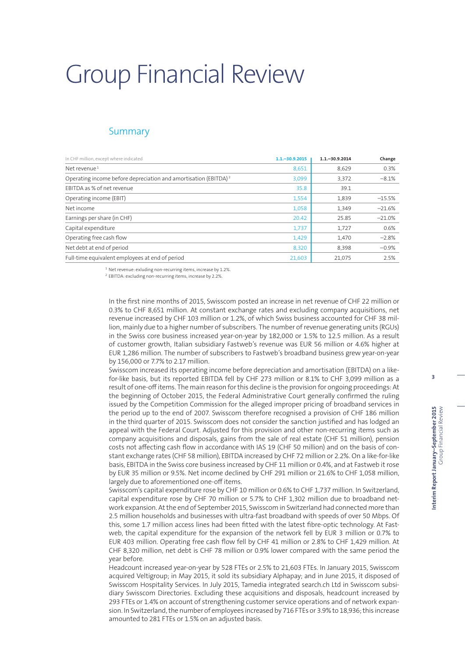# Group Financial Review

## **Summary**

| In CHF million, except where indicated                                      | $1.1 - 30.9.2015$ | $1.1 - 30.9.2014$ | Change   |
|-----------------------------------------------------------------------------|-------------------|-------------------|----------|
| Net revenue <sup>1</sup>                                                    | 8,651             | 8,629             | 0.3%     |
| Operating income before depreciation and amortisation (EBITDA) <sup>2</sup> | 3,099             | 3,372             | $-8.1%$  |
| EBITDA as % of net revenue                                                  | 35.8              | 39.1              |          |
| Operating income (EBIT)                                                     | 1,554             | 1,839             | $-15.5%$ |
| Net income                                                                  | 1,058             | 1,349             | $-21.6%$ |
| Earnings per share (in CHF)                                                 | 20.42             | 25.85             | $-21.0%$ |
| Capital expenditure                                                         | 1,737             | 1,727             | 0.6%     |
| Operating free cash flow                                                    | 1,429             | 1,470             | $-2.8%$  |
| Net debt at end of period                                                   | 8,320             | 8,398             | $-0.9%$  |
| Full-time equivalent employees at end of period                             | 21,603            | 21,075            | 2.5%     |

<sup>1</sup> Net revenue: exluding non-recurring items, increase by 1.2%.

<sup>2</sup> EBITDA: excluding non-recurring items, increase by 2.2%.

In the first nine months of 2015, Swisscom posted an increase in net revenue of CHF 22 million or 0.3% to CHF 8,651 million. At constant exchange rates and excluding company acquisitions, net revenue increased by CHF 103 million or 1.2%, of which Swiss business accounted for CHF 38 million, mainly due to a higher number of subscribers. The number of revenue generating units (RGUs) in the Swiss core business increased year-on-year by 182,000 or 1.5% to 12.5 million. As a result of customer growth, Italian subsidiary Fastweb's revenue was EUR 56 million or 4.6% higher at EUR 1,286 million. The number of subscribers to Fastweb's broadband business grew year-on-year by 156,000 or 7.7% to 2.17 million.

Swisscom increased its operating income before depreciation and amortisation (EBITDA) on a likefor-like basis, but its reported EBITDA fell by CHF 273 million or 8.1% to CHF 3,099 million as a result of one-off items. The main reason for this decline is the provision for ongoing proceedings: At the beginning of October 2015, the Federal Administrative Court generally confirmed the ruling issued by the Competition Commission for the alleged improper pricing of broadband services in the period up to the end of 2007. Swisscom therefore recognised a provision of CHF 186 million in the third quarter of 2015. Swisscom does not consider the sanction justified and has lodged an appeal with the Federal Court. Adjusted for this provision and other non-recurring items such as company acquisitions and disposals, gains from the sale of real estate (CHF 51 million), pension costs not affecting cash flow in accordance with IAS 19 (CHF 50 million) and on the basis of constant exchange rates (CHF 58 million), EBITDA increased by CHF 72 million or 2.2%. On a like-for-like basis, EBITDA in the Swiss core business increased by CHF 11 million or 0.4%, and at Fastweb it rose by EUR 35 million or 9.5%. Net income declined by CHF 291 million or 21.6% to CHF 1,058 million, largely due to aforementioned one-off items.

Swisscom's capital expenditure rose by CHF 10 million or 0.6% to CHF 1,737 million. In Switzerland, capital expenditure rose by CHF 70 million or 5.7% to CHF 1,302 million due to broadband network expansion. At the end of September 2015, Swisscom in Switzerland had connected more than 2.5 million households and businesses with ultra-fast broadband with speeds of over 50 Mbps. Of this, some 1.7 million access lines had been fitted with the latest fibre-optic technology. At Fastweb, the capital expenditure for the expansion of the network fell by EUR 3 million or 0.7% to EUR 403 million. Operating free cash flow fell by CHF 41 million or 2.8% to CHF 1,429 million. At CHF 8,320 million, net debt is CHF 78 million or 0.9% lower compared with the same period the year before.

Headcount increased year-on-year by 528 FTEs or 2.5% to 21,603 FTEs. In January 2015, Swisscom acquired Veltigroup; in May 2015, it sold its subsidiary Alphapay; and in June 2015, it disposed of Swisscom Hospitality Services. In July 2015, Tamedia integrated search.ch Ltd in Swisscom subsidiary Swisscom Directories. Excluding these acquisitions and disposals, headcount increased by 293 FTEs or 1.4% on account of strengthening customer service operations and of network expansion. In Switzerland, the number of employees increased by 716 FTEs or 3.9% to 18,936; this increase amounted to 281 FTEs or 1.5% on an adjusted basis.

**3**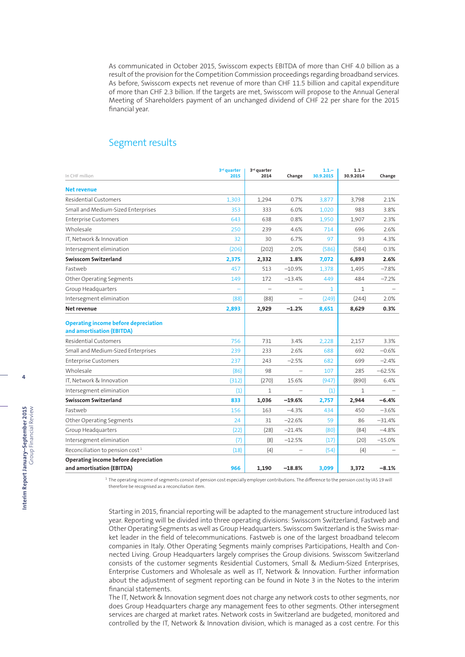As communicated in October 2015, Swisscom expects EBITDA of more than CHF 4.0 billion as a result of the provision for the Competition Commission proceedings regarding broadband services. As before, Swisscom expects net revenue of more than CHF 11.5 billion and capital expenditure of more than CHF 2.3 billion. If the targets are met, Swisscom will propose to the Annual General Meeting of Shareholders payment of an unchanged dividend of CHF 22 per share for the 2015 financial year.

## Segment results

| In CHF million                                                           | 3 <sup>rd</sup> quarter<br>2015 | 3rd quarter<br>2014 | Change                   | $1.1 -$<br>30.9.2015 | $1.1 -$<br>30.9.2014 | Change   |
|--------------------------------------------------------------------------|---------------------------------|---------------------|--------------------------|----------------------|----------------------|----------|
| <b>Net revenue</b>                                                       |                                 |                     |                          |                      |                      |          |
| <b>Residential Customers</b>                                             | 1,303                           | 1,294               | 0.7%                     | 3,877                | 3,798                | 2.1%     |
| Small and Medium-Sized Enterprises                                       | 353                             | 333                 | 6.0%                     | 1,020                | 983                  | 3.8%     |
| <b>Enterprise Customers</b>                                              | 643                             | 638                 | 0.8%                     | 1,950                | 1,907                | 2.3%     |
| Wholesale                                                                | 250                             | 239                 | 4.6%                     | 714                  | 696                  | 2.6%     |
| IT, Network & Innovation                                                 | 32                              | 30                  | 6.7%                     | 97                   | 93                   | 4.3%     |
| Intersegment elimination                                                 | (206)                           | (202)               | 2.0%                     | (586)                | (584)                | 0.3%     |
| Swisscom Switzerland                                                     | 2,375                           | 2,332               | 1.8%                     | 7,072                | 6,893                | 2.6%     |
| Fastweb                                                                  | 457                             | 513                 | $-10.9%$                 | 1,378                | 1,495                | $-7.8%$  |
| Other Operating Segments                                                 | 149                             | 172                 | $-13.4%$                 | 449                  | 484                  | $-7.2%$  |
| Group Headquarters                                                       |                                 |                     |                          | 1                    | 1                    |          |
| Intersegment elimination                                                 | (88)                            | (88)                | $\overline{\phantom{0}}$ | (249)                | (244)                | 2.0%     |
| Net revenue                                                              | 2,893                           | 2,929               | $-1.2%$                  | 8,651                | 8,629                | 0.3%     |
| <b>Operating income before depreciation</b><br>and amortisation (EBITDA) |                                 |                     |                          |                      |                      |          |
| <b>Residential Customers</b>                                             | 756                             | 731                 | 3.4%                     | 2,228                | 2,157                | 3.3%     |
| Small and Medium-Sized Enterprises                                       | 239                             | 233                 | 2.6%                     | 688                  | 692                  | $-0.6%$  |
| <b>Enterprise Customers</b>                                              | 237                             | 243                 | $-2.5%$                  | 682                  | 699                  | $-2.4%$  |
| Wholesale                                                                | (86)                            | 98                  |                          | 107                  | 285                  | $-62.5%$ |
| IT, Network & Innovation                                                 | (312)                           | (270)               | 15.6%                    | (947)                | (890)                | 6.4%     |
| Intersegment elimination                                                 | (1)                             | $\mathbf{1}$        | $\overline{\phantom{a}}$ | (1)                  | 1                    |          |
| <b>Swisscom Switzerland</b>                                              | 833                             | 1,036               | $-19.6%$                 | 2,757                | 2,944                | -6.4%    |
| Fastweb                                                                  | 156                             | 163                 | $-4.3%$                  | 434                  | 450                  | $-3.6%$  |
| Other Operating Segments                                                 | 24                              | 31                  | $-22.6%$                 | 59                   | 86                   | $-31.4%$ |
| Group Headquarters                                                       | (22)                            | (28)                | $-21.4%$                 | (80)                 | (84)                 | $-4.8%$  |
| Intersegment elimination                                                 | (7)                             | (8)                 | $-12.5%$                 | (17)                 | (20)                 | $-15.0%$ |
| Reconciliation to pension cost <sup>1</sup>                              | (18)                            | (4)                 |                          | (54)                 | (4)                  |          |
| Operating income before depreciation<br>and amortisation (EBITDA)        | 966                             | 1,190               | $-18.8%$                 | 3,099                | 3,372                | $-8.1%$  |

<sup>1</sup> The operating income of segments consist of pension cost especially employer contributions. The difference to the pension cost by IAS 19 will therefore be recognised as a reconciliation item.

Starting in 2015, financial reporting will be adapted to the management structure introduced last year. Reporting will be divided into three operating divisions: Swisscom Switzerland, Fastweb and Other Operating Segments as well as Group Headquarters. Swisscom Switzerland is the Swiss market leader in the field of telecommunications. Fastweb is one of the largest broadband telecom companies in Italy. Other Operating Segments mainly comprises Participations, Health and Connected Living. Group Headquarters largely comprises the Group divisions. Swisscom Switzerland consists of the customer segments Residential Customers, Small & Medium-Sized Enterprises, Enterprise Customers and Wholesale as well as IT, Network & Innovation. Further information about the adjustment of segment reporting can be found in Note 3 in the Notes to the interim financial statements.

The IT, Network & Innovation segment does not charge any network costs to other segments, nor does Group Headquarters charge any management fees to other segments. Other intersegment services are charged at market rates. Network costs in Switzerland are budgeted, monitored and controlled by the IT, Network & Innovation division, which is managed as a cost centre. For this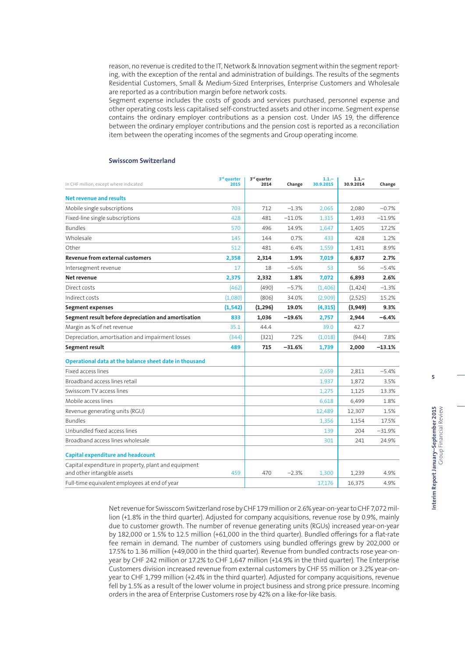reason, no revenue is credited to the IT, Network & Innovation segment within the segment reporting, with the exception of the rental and administration of buildings. The results of the segments Residential Customers, Small & Medium-Sized Enterprises, Enterprise Customers and Wholesale are reported as a contribution margin before network costs.

Segment expense includes the costs of goods and services purchased, personnel expense and other operating costs less capitalised self-constructed assets and other income. Segment expense contains the ordinary employer contributions as a pension cost. Under IAS 19, the difference between the ordinary employer contributions and the pension cost is reported as a reconciliation item between the operating incomes of the segments and Group operating income.

| In CHF million, except where indicated                 | 3 <sup>rd</sup> quarter<br>2015 | 3rd quarter<br>2014 | Change    | $1.1 -$<br>30.9.2015 | $1.1 -$<br>30.9.2014 | Change   |
|--------------------------------------------------------|---------------------------------|---------------------|-----------|----------------------|----------------------|----------|
| <b>Net revenue and results</b>                         |                                 |                     |           |                      |                      |          |
| Mobile single subscriptions                            | 703                             | 712                 | $-1.3%$   | 2,065                | 2,080                | $-0.7%$  |
| Fixed-line single subscriptions                        | 428                             | 481                 | $-11.0%$  | 1,315                | 1,493                | $-11.9%$ |
| <b>Bundles</b>                                         | 570                             | 496                 | 14.9%     | 1,647                | 1,405                | 17.2%    |
| Wholesale                                              | 145                             | 144                 | 0.7%      | 433                  | 428                  | 1.2%     |
| Other                                                  | 512                             | 481                 | 6.4%      | 1,559                | 1,431                | 8.9%     |
| Revenue from external customers                        | 2,358                           | 2,314               | 1.9%      | 7,019                | 6,837                | 2.7%     |
| Intersegment revenue                                   | 17                              | 18                  | $-5.6%$   | 53                   | 56                   | $-5.4%$  |
| Net revenue                                            | 2,375                           | 2,332               | 1.8%      | 7,072                | 6,893                | 2.6%     |
| Direct costs                                           | (462)                           | (490)               | $-5.7%$   | (1,406)              | (1,424)              | $-1.3%$  |
| Indirect costs                                         | (1,080)                         | (806)               | 34.0%     | (2,909)              | (2,525)              | 15.2%    |
| <b>Segment expenses</b>                                | (1, 542)                        | (1, 296)            | 19.0%     | (4, 315)             | (3,949)              | 9.3%     |
| Segment result before depreciation and amortisation    | 833                             | 1,036               | $-19.6\%$ | 2,757                | 2,944                | $-6.4%$  |
| Margin as % of net revenue                             | 35.1                            | 44.4                |           | 39.0                 | 42.7                 |          |
| Depreciation, amortisation and impairment losses       | (344)                           | (321)               | 7.2%      | (1,018)              | (944)                | 7.8%     |
| Segment result                                         | 489                             | 715                 | $-31.6%$  | 1,739                | 2,000                | $-13.1%$ |
| Operational data at the balance sheet date in thousand |                                 |                     |           |                      |                      |          |
| <b>Fixed access lines</b>                              |                                 |                     |           | 2,659                | 2,811                | $-5.4%$  |
| Broadband access lines retail                          |                                 |                     |           | 1,937                | 1,872                | 3.5%     |
| Swisscom TV access lines                               |                                 |                     |           | 1,275                | 1,125                | 13.3%    |
| Mobile access lines                                    |                                 |                     |           | 6,618                | 6,499                | 1.8%     |
| Revenue generating units (RGU)                         |                                 |                     |           | 12,489               | 12,307               | 1.5%     |
| <b>Bundles</b>                                         |                                 |                     |           | 1,356                | 1,154                | 17.5%    |
| Unbundled fixed access lines                           |                                 |                     |           | 139                  | 204                  | $-31.9%$ |
| Broadband access lines wholesale                       |                                 |                     |           | 301                  | 241                  | 24.9%    |
| <b>Capital expenditure and headcount</b>               |                                 |                     |           |                      |                      |          |
| Capital expenditure in property, plant and equipment   |                                 |                     |           |                      |                      |          |
| and other intangible assets                            | 459                             | 470                 | $-2.3%$   | 1,300                | 1,239                | 4.9%     |
| Full-time equivalent employees at end of year          |                                 |                     |           | 17.176               | 16,375               | 4.9%     |

#### **Swisscom Switzerland**

Net revenue for Swisscom Switzerland rose by CHF 179 million or 2.6% year-on-year to CHF 7,072 million (+1.8% in the third quarter). Adjusted for company acquisitions, revenue rose by 0.9%, mainly due to customer growth. The number of revenue generating units (RGUs) increased year-on-year by 182,000 or 1.5% to 12.5 million (+61,000 in the third quarter). Bundled offerings for a flat-rate fee remain in demand. The number of customers using bundled offerings grew by 202,000 or 17.5% to 1.36 million (+49,000 in the third quarter). Revenue from bundled contracts rose year-onyear by CHF 242 million or 17.2% to CHF 1,647 million (+14.9% in the third quarter). The Enterprise Customers division increased revenue from external customers by CHF 55 million or 3.2% year-onyear to CHF 1,799 million (+2.4% in the third quarter). Adjusted for company acquisitions, revenue fell by 1.5% as a result of the lower volume in project business and strong price pressure. Incoming orders in the area of Enterprise Customers rose by 42% on a like-for-like basis.

**5**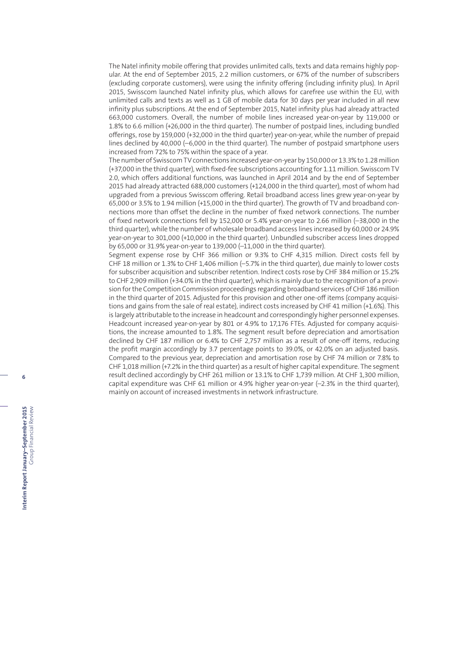The Natel infinity mobile offering that provides unlimited calls, texts and data remains highly popular. At the end of September 2015, 2.2 million customers, or 67% of the number of subscribers (excluding corporate customers), were using the infinity offering (including infinity plus). In April 2015, Swisscom launched Natel infinity plus, which allows for carefree use within the EU, with unlimited calls and texts as well as 1 GB of mobile data for 30 days per year included in all new infinity plus subscriptions. At the end of September 2015, Natel infinity plus had already attracted 663,000 customers. Overall, the number of mobile lines increased year-on-year by 119,000 or 1.8% to 6.6 million (+26,000 in the third quarter). The number of postpaid lines, including bundled offerings, rose by 159,000 (+32,000 in the third quarter) year-on-year, while the number of prepaid lines declined by 40,000 (–6,000 in the third quarter). The number of postpaid smartphone users increased from 72% to 75% within the space of a year.

The number of Swisscom TV connections increased year-on-year by 150,000 or 13.3% to 1.28 million (+37,000 in the third quarter), with fixed-fee subscriptions accounting for 1.11 million. Swisscom TV 2.0, which offers additional functions, was launched in April 2014 and by the end of September 2015 had already attracted 688,000 customers (+124,000 in the third quarter), most of whom had upgraded from a previous Swisscom offering. Retail broadband access lines grew year-on-year by 65,000 or 3.5% to 1.94 million (+15,000 in the third quarter). The growth of TV and broadband connections more than offset the decline in the number of fixed network connections. The number of fixed network connections fell by 152,000 or 5.4% year-on-year to 2.66 million (–38,000 in the third quarter), while the number of wholesale broadband access lines increased by 60,000 or 24.9% year-on-year to 301,000 (+10,000 in the third quarter). Unbundled subscriber access lines dropped by 65,000 or 31.9% year-on-year to 139,000 (–11,000 in the third quarter).

Segment expense rose by CHF 366 million or 9.3% to CHF 4,315 million. Direct costs fell by CHF 18 million or 1.3% to CHF 1,406 million (–5.7% in the third quarter), due mainly to lower costs for subscriber acquisition and subscriber retention. Indirect costs rose by CHF 384 million or 15.2% to CHF 2,909 million (+34.0% in the third quarter), which is mainly due to the recognition of a provision for the Competition Commission proceedings regarding broadband services of CHF 186 million in the third quarter of 2015. Adjusted for this provision and other one-off items (company acquisitions and gains from the sale of real estate), indirect costs increased by CHF 41 million (+1.6%). This is largely attributable to the increase in headcount and correspondingly higher personnel expenses. Headcount increased year-on-year by 801 or 4.9% to 17,176 FTEs. Adjusted for company acquisitions, the increase amounted to 1.8%. The segment result before depreciation and amortisation declined by CHF 187 million or 6.4% to CHF 2,757 million as a result of one-off items, reducing the profit margin accordingly by 3.7 percentage points to 39.0%, or 42.0% on an adjusted basis. Compared to the previous year, depreciation and amortisation rose by CHF 74 million or 7.8% to CHF 1,018 million (+7.2% in the third quarter) as a result of higher capital expenditure. The segment result declined accordingly by CHF 261 million or 13.1% to CHF 1,739 million. At CHF 1,300 million, capital expenditure was CHF 61 million or 4.9% higher year-on-year (–2.3% in the third quarter), mainly on account of increased investments in network infrastructure.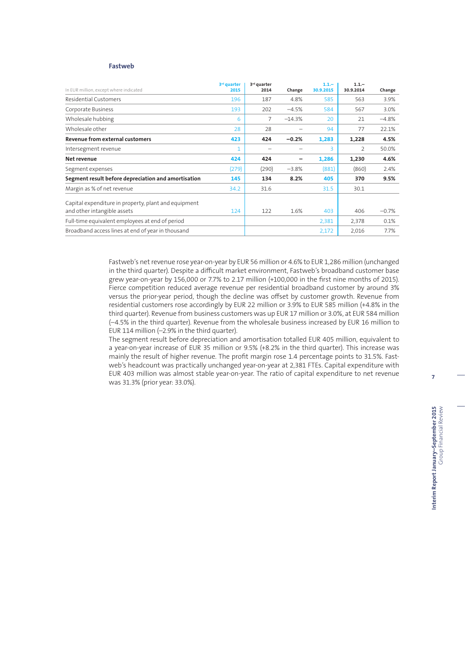### **Fastweb**

| In EUR million, except where indicated               | 3 <sup>rd</sup> quarter<br>2015 | 3 <sup>rd</sup> quarter<br>2014 | Change   | $1.1 -$<br>30.9.2015 | $1.1 -$<br>30.9.2014 | Change  |
|------------------------------------------------------|---------------------------------|---------------------------------|----------|----------------------|----------------------|---------|
| Residential Customers                                | 196                             | 187                             | 4.8%     | 585                  | 563                  | 3.9%    |
| Corporate Business                                   | 193                             | 202                             | $-4.5%$  | 584                  | 567                  | 3.0%    |
| Wholesale hubbing                                    | 6                               | 7                               | $-14.3%$ | 20                   | 21                   | $-4.8%$ |
| Wholesale other                                      | 28                              | 28                              |          | 94                   | 77                   | 22.1%   |
| Revenue from external customers                      | 423                             | 424                             | $-0.2%$  | 1,283                | 1,228                | 4.5%    |
| Intersegment revenue                                 |                                 |                                 |          | 3                    | $\overline{2}$       | 50.0%   |
| Net revenue                                          | 424                             | 424                             |          | 1,286                | 1,230                | 4.6%    |
| Segment expenses                                     | (279)                           | (290)                           | $-3.8%$  | (881)                | (860)                | 2.4%    |
| Segment result before depreciation and amortisation  | 145                             | 134                             | 8.2%     | 405                  | 370                  | 9.5%    |
| Margin as % of net revenue                           | 34.2                            | 31.6                            |          | 31.5                 | 30.1                 |         |
| Capital expenditure in property, plant and equipment |                                 |                                 |          |                      |                      |         |
| and other intangible assets                          | 124                             | 122                             | 1.6%     | 403                  | 406                  | $-0.7%$ |
| Full-time equivalent employees at end of period      |                                 |                                 |          | 2,381                | 2,378                | 0.1%    |
| Broadband access lines at end of year in thousand    |                                 |                                 |          | 2,172                | 2,016                | 7.7%    |

Fastweb's net revenue rose year-on-year by EUR 56 million or 4.6% to EUR 1,286 million (unchanged in the third quarter). Despite a difficult market environment, Fastweb's broadband customer base grew year-on-year by 156,000 or 7.7% to 2.17 million (+100,000 in the first nine months of 2015). Fierce competition reduced average revenue per residential broadband customer by around 3% versus the prior-year period, though the decline was offset by customer growth. Revenue from residential customers rose accordingly by EUR 22 million or 3.9% to EUR 585 million (+4.8% in the third quarter). Revenue from business customers was up EUR 17 million or 3.0%, at EUR 584 million (–4.5% in the third quarter). Revenue from the wholesale business increased by EUR 16 million to EUR 114 million (–2.9% in the third quarter).

The segment result before depreciation and amortisation totalled EUR 405 million, equivalent to a year-on-year increase of EUR 35 million or 9.5% (+8.2% in the third quarter). This increase was mainly the result of higher revenue. The profit margin rose 1.4 percentage points to 31.5%. Fastweb's headcount was practically unchanged year-on-year at 2,381 FTEs. Capital expenditure with EUR 403 million was almost stable year-on-year. The ratio of capital expenditure to net revenue was 31.3% (prior year: 33.0%).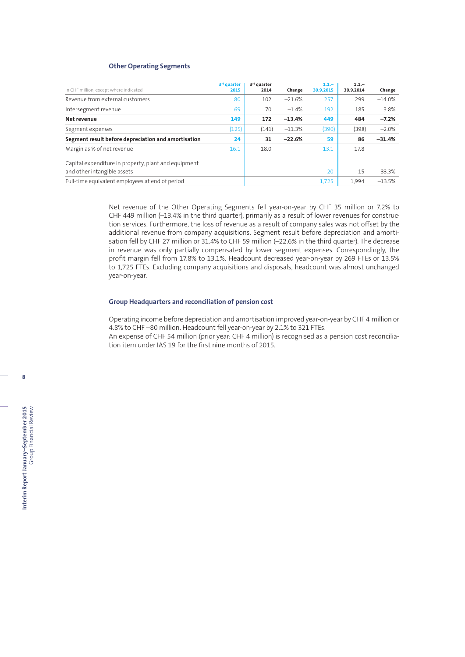## **Other Operating Segments**

| In CHF million, except where indicated               | 3 <sup>rd</sup> quarter<br>2015 | 3 <sup>rd</sup> quarter<br>2014 | Change   | $1.1 -$<br>30.9.2015 | $1.1 -$<br>30.9.2014 | Change   |
|------------------------------------------------------|---------------------------------|---------------------------------|----------|----------------------|----------------------|----------|
| Revenue from external customers                      | 80                              | 102                             | $-21.6%$ | 257                  | 299                  | $-14.0%$ |
| Intersegment revenue                                 | 69                              | 70                              | $-1.4%$  | 192                  | 185                  | 3.8%     |
| Net revenue                                          | 149                             | 172                             | $-13.4%$ | 449                  | 484                  | $-7.2%$  |
| Segment expenses                                     | (125)                           | (141)                           | $-11.3%$ | (390)                | (398)                | $-2.0%$  |
| Segment result before depreciation and amortisation  | 24                              | 31                              | $-22.6%$ | 59                   | 86                   | $-31.4%$ |
| Margin as % of net revenue                           | 16.1                            | 18.0                            |          | 13.1                 | 17.8                 |          |
| Capital expenditure in property, plant and equipment |                                 |                                 |          |                      |                      |          |
| and other intangible assets                          |                                 |                                 |          | 20                   | 15                   | 33.3%    |
| Full-time equivalent employees at end of period      |                                 |                                 |          | 1,725                | 1.994                | $-13.5%$ |

Net revenue of the Other Operating Segments fell year-on-year by CHF 35 million or 7.2% to CHF 449 million (–13.4% in the third quarter), primarily as a result of lower revenues for construction services. Furthermore, the loss of revenue as a result of company sales was not offset by the additional revenue from company acquisitions. Segment result before depreciation and amortisation fell by CHF 27 million or 31.4% to CHF 59 million (–22.6% in the third quarter). The decrease in revenue was only partially compensated by lower segment expenses. Correspondingly, the profit margin fell from 17.8% to 13.1%. Headcount decreased year-on-year by 269 FTEs or 13.5% to 1,725 FTEs. Excluding company acquisitions and disposals, headcount was almost unchanged year-on-year.

#### **Group Headquarters and reconciliation of pension cost**

Operating income before depreciation and amortisation improved year-on-year by CHF 4 million or 4.8% to CHF –80 million. Headcount fell year-on-year by 2.1% to 321 FTEs.

An expense of CHF 54 million (prior year: CHF 4 million) is recognised as a pension cost reconciliation item under IAS 19 for the first nine months of 2015.

**8**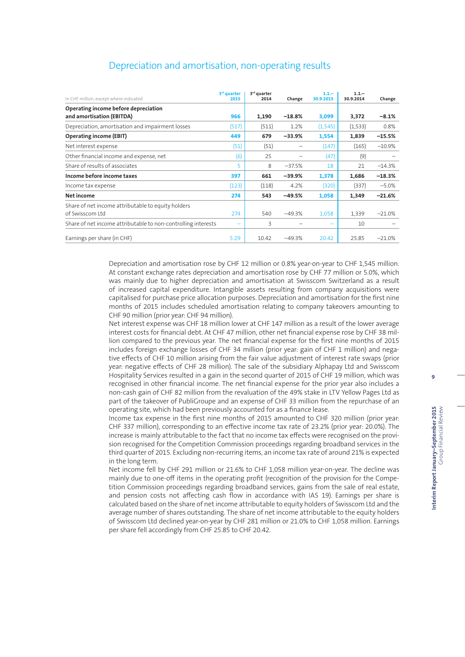| In CHF million, except where indicated                        | 3 <sup>rd</sup> quarter<br>2015 | 3 <sup>rd</sup> quarter<br>2014 | Change   | $1.1 -$<br>30.9.2015 | $1.1 -$<br>30.9.2014 | Change   |
|---------------------------------------------------------------|---------------------------------|---------------------------------|----------|----------------------|----------------------|----------|
| Operating income before depreciation                          |                                 |                                 |          |                      |                      |          |
| and amortisation (EBITDA)                                     | 966                             | 1,190                           | $-18.8%$ | 3,099                | 3,372                | $-8.1%$  |
| Depreciation, amortisation and impairment losses              | (517)                           | (511)                           | 1.2%     | (1, 545)             | (1, 533)             | 0.8%     |
| <b>Operating income (EBIT)</b>                                | 449                             | 679                             | $-33.9%$ | 1,554                | 1,839                | $-15.5%$ |
| Net interest expense                                          | (51)                            | (51)                            |          | (147)                | (165)                | $-10.9%$ |
| Other financial income and expense, net                       | (6)                             | 25                              |          | (47)                 | (9)                  |          |
| Share of results of associates                                | 5                               | 8                               | $-37.5%$ | 18                   | 21                   | $-14.3%$ |
| Income before income taxes                                    | 397                             | 661                             | $-39.9%$ | 1,378                | 1,686                | $-18.3%$ |
| Income tax expense                                            | (123)                           | (118)                           | 4.2%     | (320)                | (337)                | $-5.0%$  |
| Net income                                                    | 274                             | 543                             | $-49.5%$ | 1,058                | 1,349                | $-21.6%$ |
| Share of net income attributable to equity holders            |                                 |                                 |          |                      |                      |          |
| of Swisscom Ltd                                               | 274                             | 540                             | $-49.3%$ | 1,058                | 1,339                | $-21.0%$ |
| Share of net income attributable to non-controlling interests |                                 | 3                               |          |                      | 10                   |          |
| Earnings per share (in CHF)                                   | 5.29                            | 10.42                           | $-49.3%$ | 20.42                | 25.85                | $-21.0%$ |

## Depreciation and amortisation, non-operating results

Depreciation and amortisation rose by CHF 12 million or 0.8% year-on-year to CHF 1,545 million. At constant exchange rates depreciation and amortisation rose by CHF 77 million or 5.0%, which was mainly due to higher depreciation and amortisation at Swisscom Switzerland as a result of increased capital expenditure. Intangible assets resulting from company acquisitions were capitalised for purchase price allocation purposes. Depreciation and amortisation for the first nine months of 2015 includes scheduled amortisation relating to company takeovers amounting to CHF 90 million (prior year: CHF 94 million).

Net interest expense was CHF 18 million lower at CHF 147 million as a result of the lower average interest costs for financial debt. At CHF 47 million, other net financial expense rose by CHF 38 million compared to the previous year. The net financial expense for the first nine months of 2015 includes foreign exchange losses of CHF 34 million (prior year: gain of CHF 1 million) and negative effects of CHF 10 million arising from the fair value adjustment of interest rate swaps (prior year: negative effects of CHF 28 million). The sale of the subsidiary Alphapay Ltd and Swisscom Hospitality Services resulted in a gain in the second quarter of 2015 of CHF 19 million, which was recognised in other financial income. The net financial expense for the prior year also includes a non-cash gain of CHF 82 million from the revaluation of the 49% stake in LTV Yellow Pages Ltd as part of the takeover of PubliGroupe and an expense of CHF 33 million from the repurchase of an operating site, which had been previously accounted for as a finance lease.

Income tax expense in the first nine months of 2015 amounted to CHF 320 million (prior year: CHF 337 million), corresponding to an effective income tax rate of 23.2% (prior year: 20.0%). The increase is mainly attributable to the fact that no income tax effects were recognised on the provision recognised for the Competition Commission proceedings regarding broadband services in the third quarter of 2015. Excluding non-recurring items, an income tax rate of around 21% is expected in the long term.

Net income fell by CHF 291 million or 21.6% to CHF 1,058 million year-on-year. The decline was mainly due to one-off items in the operating profit (recognition of the provision for the Competition Commission proceedings regarding broadband services, gains from the sale of real estate, and pension costs not affecting cash flow in accordance with IAS 19). Earnings per share is calculated based on the share of net income attributable to equity holders of Swisscom Ltd and the average number of shares outstanding. The share of net income attributable to the equity holders of Swisscom Ltd declined year-on-year by CHF 281 million or 21.0% to CHF 1,058 million. Earnings per share fell accordingly from CHF 25.85 to CHF 20.42.

**9**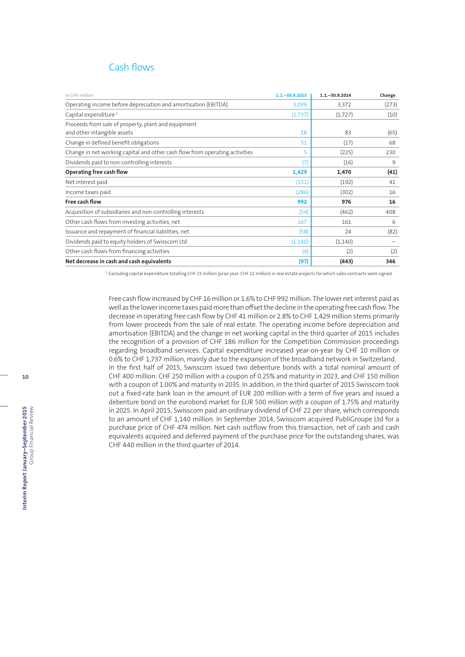## Cash flows

| In CHF million                                                              | $1.1 - 30.9.2015$ | $1.1 - 30.9.2014$ | Change |
|-----------------------------------------------------------------------------|-------------------|-------------------|--------|
| Operating income before depreciation and amortisation (EBITDA)              | 3,099             | 3,372             | (273)  |
| Capital expenditure <sup>1</sup>                                            | (1,737)           | (1,727)           | (10)   |
| Proceeds from sale of property, plant and equipment                         |                   |                   |        |
| and other intangible assets                                                 | 18                | 83                | (65)   |
| Change in defined benefit obligations                                       | 51                | (17)              | 68     |
| Change in net working capital and other cash flow from operating activities | 5                 | (225)             | 230    |
| Dividends paid to non-controlling interests                                 | (7)               | (16)              | 9      |
| Operating free cash flow                                                    | 1,429             | 1,470             | (41)   |
| Net interest paid                                                           | (151)             | (192)             | 41     |
| Income taxes paid                                                           | (286)             | (302)             | 16     |
| Free cash flow                                                              | 992               | 976               | 16     |
| Acquisition of subsidiaries and non-controlling interests                   | (54)              | (462)             | 408    |
| Other cash flows from investing activities, net                             | 167               | 161               | 6      |
| Issuance and repayment of financial liabilities, net                        | (58)              | 24                | (82)   |
| Dividends paid to equity holders of Swisscom Ltd                            | (1, 140)          | (1,140)           |        |
| Other cash flows from financing activities                                  | (4)               | (2)               | (2)    |
| Net decrease in cash and cash equivalents                                   | (97)              | (443)             | 346    |

<sup>1</sup> Excluding capital expenditure totalling CHF 15 million (prior year: CHF 22 million) in real estate projects for which sales contracts were signed.

Free cash flow increased by CHF 16 million or 1.6% to CHF 992 million. The lower net interest paid as well as the lower income taxes paid more than offset the decline in the operating free cash flow. The decrease in operating free cash flow by CHF 41 million or 2.8% to CHF 1,429 million stems primarily from lower proceeds from the sale of real estate. The operating income before depreciation and amortisation (EBITDA) and the change in net working capital in the third quarter of 2015 includes the recognition of a provision of CHF 186 million for the Competition Commission proceedings regarding broadband services. Capital expenditure increased year-on-year by CHF 10 million or 0.6% to CHF 1,737 million, mainly due to the expansion of the broadband network in Switzerland. In the first half of 2015, Swisscom issued two debenture bonds with a total nominal amount of CHF 400 million: CHF 250 million with a coupon of 0.25% and maturity in 2023, and CHF 150 million with a coupon of 1.00% and maturity in 2035. In addition, in the third quarter of 2015 Swisscom took out a fixed-rate bank loan in the amount of EUR 200 million with a term of five years and issued a debenture bond on the eurobond market for EUR 500 million with a coupon of 1.75% and maturity in 2025. In April 2015, Swisscom paid an ordinary dividend of CHF 22 per share, which corresponds to an amount of CHF 1,140 million. In September 2014, Swisscom acquired PubliGroupe Ltd for a purchase price of CHF 474 million. Net cash outflow from this transaction, net of cash and cash equivalents acquired and deferred payment of the purchase price for the outstanding shares, was CHF 440 million in the third quarter of 2014.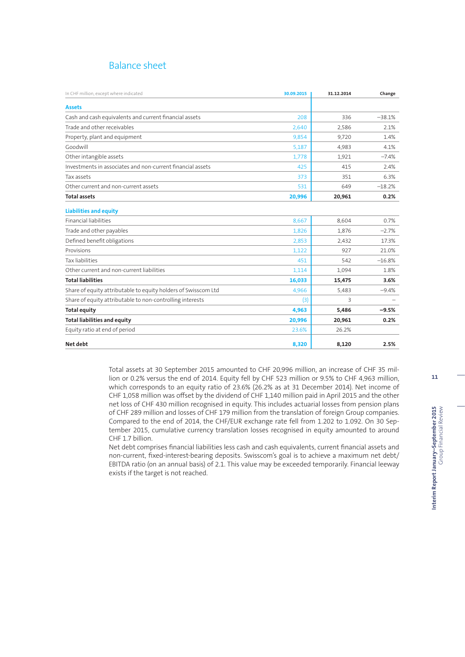## Balance sheet

| In CHF million, except where indicated                         | 30.09.2015 | 31.12.2014 | Change   |
|----------------------------------------------------------------|------------|------------|----------|
| <b>Assets</b>                                                  |            |            |          |
| Cash and cash equivalents and current financial assets         | 208        | 336        | $-38.1%$ |
| Trade and other receivables                                    | 2,640      | 2,586      | 2.1%     |
| Property, plant and equipment                                  | 9,854      | 9,720      | 1.4%     |
| Goodwill                                                       | 5,187      | 4,983      | 4.1%     |
| Other intangible assets                                        | 1,778      | 1,921      | $-7.4%$  |
| Investments in associates and non-current financial assets     | 425        | 415        | 2.4%     |
| Tax assets                                                     | 373        | 351        | 6.3%     |
| Other current and non-current assets                           | 531        | 649        | $-18.2%$ |
| <b>Total assets</b>                                            | 20,996     | 20,961     | 0.2%     |
| <b>Liabilities and equity</b>                                  |            |            |          |
| <b>Financial liabilities</b>                                   | 8,667      | 8,604      | 0.7%     |
| Trade and other payables                                       | 1.826      | 1.876      | $-2.7%$  |
| Defined benefit obligations                                    | 2,853      | 2,432      | 17.3%    |
| Provisions                                                     | 1,122      | 927        | 21.0%    |
| Tax liabilities                                                | 451        | 542        | $-16.8%$ |
| Other current and non-current liabilities                      | 1,114      | 1.094      | 1.8%     |
| <b>Total liabilities</b>                                       | 16,033     | 15,475     | 3.6%     |
| Share of equity attributable to equity holders of Swisscom Ltd | 4,966      | 5,483      | $-9.4%$  |
| Share of equity attributable to non-controlling interests      | (3)        | 3          |          |
| <b>Total equity</b>                                            | 4,963      | 5,486      | $-9.5%$  |
| <b>Total liabilities and equity</b>                            | 20,996     | 20,961     | 0.2%     |
| Equity ratio at end of period                                  | 23.6%      | 26.2%      |          |
| Net debt                                                       | 8,320      | 8,120      | 2.5%     |

Total assets at 30 September 2015 amounted to CHF 20,996 million, an increase of CHF 35 million or 0.2% versus the end of 2014. Equity fell by CHF 523 million or 9.5% to CHF 4,963 million, which corresponds to an equity ratio of 23.6% (26.2% as at 31 December 2014). Net income of CHF 1,058 million was offset by the dividend of CHF 1,140 million paid in April 2015 and the other net loss of CHF 430 million recognised in equity. This includes actuarial losses from pension plans of CHF 289 million and losses of CHF 179 million from the translation of foreign Group companies. Compared to the end of 2014, the CHF/EUR exchange rate fell from 1.202 to 1.092. On 30 September 2015, cumulative currency translation losses recognised in equity amounted to around CHF 1.7 billion.

Net debt comprises financial liabilities less cash and cash equivalents, current financial assets and non-current, fixed-interest-bearing deposits. Swisscom's goal is to achieve a maximum net debt/ EBITDA ratio (on an annual basis) of 2.1. This value may be exceeded temporarily. Financial leeway exists if the target is not reached.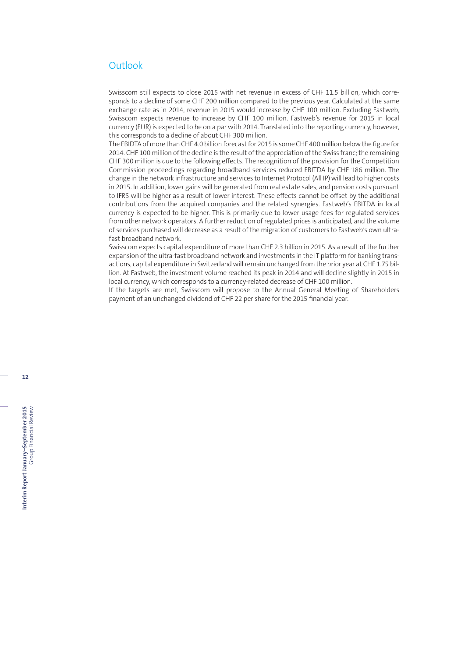## **Outlook**

Swisscom still expects to close 2015 with net revenue in excess of CHF 11.5 billion, which corresponds to a decline of some CHF 200 million compared to the previous year. Calculated at the same exchange rate as in 2014, revenue in 2015 would increase by CHF 100 million. Excluding Fastweb, Swisscom expects revenue to increase by CHF 100 million. Fastweb's revenue for 2015 in local currency (EUR) is expected to be on a par with 2014. Translated into the reporting currency, however, this corresponds to a decline of about CHF 300 million.

The EBIDTA of more than CHF 4.0 billion forecast for 2015 is some CHF 400 million below the figure for 2014. CHF 100 million of the decline is the result of the appreciation of the Swiss franc; the remaining CHF 300 million is due to the following effects: The recognition of the provision for the Competition Commission proceedings regarding broadband services reduced EBITDA by CHF 186 million. The change in the network infrastructure and services to Internet Protocol (All IP) will lead to higher costs in 2015. In addition, lower gains will be generated from real estate sales, and pension costs pursuant to IFRS will be higher as a result of lower interest. These effects cannot be offset by the additional contributions from the acquired companies and the related synergies. Fastweb's EBITDA in local currency is expected to be higher. This is primarily due to lower usage fees for regulated services from other network operators. A further reduction of regulated prices is anticipated, and the volume of services purchased will decrease as a result of the migration of customers to Fastweb's own ultrafast broadband network.

Swisscom expects capital expenditure of more than CHF 2.3 billion in 2015. As a result of the further expansion of the ultra-fast broadband network and investments in the IT platform for banking transactions, capital expenditure in Switzerland will remain unchanged from the prior year at CHF 1.75 billion. At Fastweb, the investment volume reached its peak in 2014 and will decline slightly in 2015 in local currency, which corresponds to a currency-related decrease of CHF 100 million.

If the targets are met, Swisscom will propose to the Annual General Meeting of Shareholders payment of an unchanged dividend of CHF 22 per share for the 2015 financial year.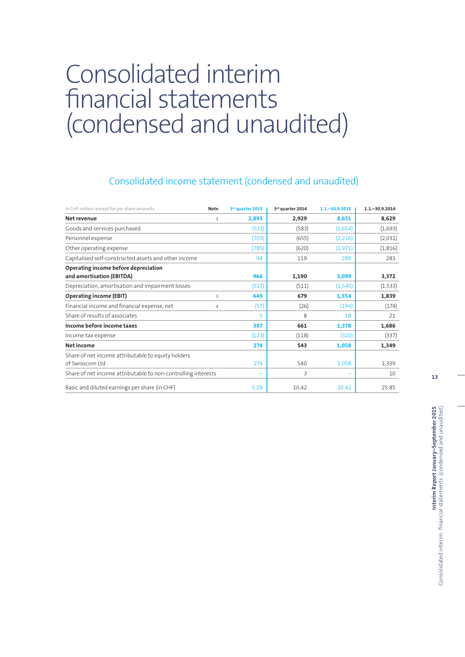# Consolidated interim financial statements (condensed and unaudited)

## Consolidated income statement (condensed and unaudited)

| In CHF million, except for per share amounts                  | <b>Note</b> | 3rd quarter 2015 | 3rd quarter 2014 | $1.1 - 30.9.2015$ | $1.1 - 30.9.2014$ |
|---------------------------------------------------------------|-------------|------------------|------------------|-------------------|-------------------|
| Net revenue                                                   | 3           | 2,893            | 2,929            | 8,651             | 8,629             |
| Goods and services purchased                                  |             | (533)            | (583)            | (1,654)           | (1,693)           |
| Personnel expense                                             |             | (703)            | (655)            | (2,216)           | (2,031)           |
| Other operating expense                                       |             | (785)            | (620)            | (1,971)           | (1, 816)          |
| Capitalised self-constructed assets and other income          |             | 94               | 119              | 289               | 283               |
| Operating income before depreciation                          |             |                  |                  |                   |                   |
| and amortisation (EBITDA)                                     |             | 966              | 1,190            | 3,099             | 3,372             |
| Depreciation, amortisation and impairment losses              |             | (517)            | (511)            | (1, 545)          | (1,533)           |
| <b>Operating income (EBIT)</b>                                | 3           | 449              | 679              | 1,554             | 1,839             |
| Financial income and financial expense, net                   | 4           | (57)             | (26)             | (194)             | (174)             |
| Share of results of associates                                |             | 5                | 8                | 18                | 21                |
| Income before income taxes                                    |             | 397              | 661              | 1,378             | 1,686             |
| Income tax expense                                            |             | (123)            | (118)            | (320)             | (337)             |
| Net income                                                    |             | 274              | 543              | 1,058             | 1,349             |
| Share of net income attributable to equity holders            |             |                  |                  |                   |                   |
| of Swisscom Ltd                                               |             | 274              | 540              | 1,058             | 1,339             |
| Share of net income attributable to non-controlling interests |             |                  | 3                |                   | 10                |
| Basic and diluted earnings per share (in CHF)                 |             | 5.29             | 10.42            | 20.42             | 25.85             |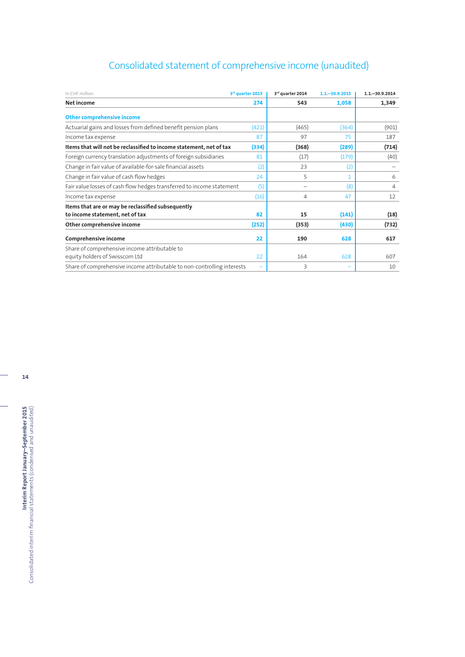## Consolidated statement of comprehensive income (unaudited)

| In CHF million                                                          | 3rd quarter 2015 | 3rd quarter 2014 | $1.1 - 30.9.2015$ | $1.1 - 30.9.2014$ |
|-------------------------------------------------------------------------|------------------|------------------|-------------------|-------------------|
| Net income                                                              | 274              | 543              | 1,058             | 1,349             |
| <b>Other comprehensive income</b>                                       |                  |                  |                   |                   |
| Actuarial gains and losses from defined benefit pension plans           | (421)            | (465)            | (364)             | (901)             |
| Income tax expense                                                      | 87               | 97               | 75                | 187               |
| Items that will not be reclassified to income statement, net of tax     | (334)            | (368)            | (289)             | (714)             |
| Foreign currency translation adjustments of foreign subsidiaries        | 81               | (17)             | (179)             | (40)              |
| Change in fair value of available-for-sale financial assets             | (2)              | 23               | (2)               |                   |
| Change in fair value of cash flow hedges                                | 24               | 5                | 1                 | 6                 |
| Fair value losses of cash flow hedges transferred to income statement   | (5)              |                  | (8)               | $\overline{4}$    |
| Income tax expense                                                      | (16)             | $\overline{4}$   | 47                | 12                |
| Items that are or may be reclassified subsequently                      |                  |                  |                   |                   |
| to income statement, net of tax                                         | 82               | 15               | (141)             | (18)              |
| Other comprehensive income                                              | (252)            | (353)            | (430)             | (732)             |
| Comprehensive income                                                    | 22               | 190              | 628               | 617               |
| Share of comprehensive income attributable to                           |                  |                  |                   |                   |
| equity holders of Swisscom Ltd                                          | 22               | 164              | 628               | 607               |
| Share of comprehensive income attributable to non-controlling interests |                  | 3                |                   | 10                |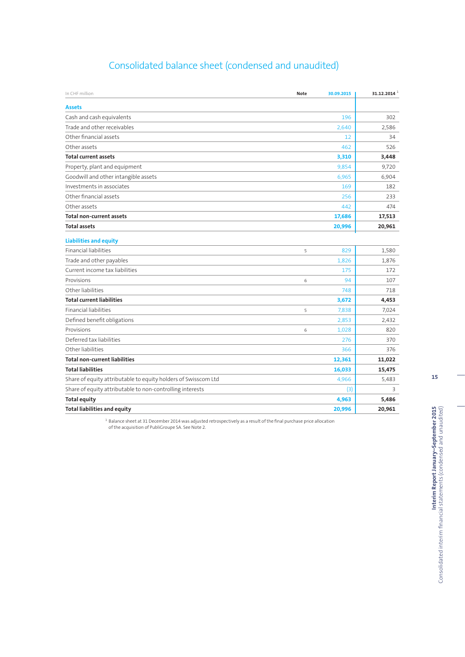## Consolidated balance sheet (condensed and unaudited)

| In CHF million                                                 | <b>Note</b> | 30.09.2015 | 31.12.2014 $^{-1}$ |
|----------------------------------------------------------------|-------------|------------|--------------------|
| <b>Assets</b>                                                  |             |            |                    |
| Cash and cash equivalents                                      |             | 196        | 302                |
| Trade and other receivables                                    |             | 2.640      | 2,586              |
| Other financial assets                                         |             | 12         | 34                 |
| Other assets                                                   |             | 462        | 526                |
| <b>Total current assets</b>                                    |             | 3,310      | 3,448              |
| Property, plant and equipment                                  |             | 9,854      | 9,720              |
| Goodwill and other intangible assets                           |             | 6,965      | 6,904              |
| Investments in associates                                      |             | 169        | 182                |
| Other financial assets                                         |             | 256        | 233                |
| Other assets                                                   |             | 442        | 474                |
| <b>Total non-current assets</b>                                |             | 17,686     | 17,513             |
| <b>Total assets</b>                                            |             | 20,996     | 20,961             |
| <b>Liabilities and equity</b>                                  |             |            |                    |
| <b>Financial liabilities</b>                                   | 5           | 829        | 1,580              |
| Trade and other payables                                       |             | 1,826      | 1,876              |
| Current income tax liabilities                                 |             | 175        | 172                |
| Provisions                                                     | 6           | 94         | 107                |
| Other liabilities                                              |             | 748        | 718                |
| <b>Total current liabilities</b>                               |             | 3,672      | 4,453              |
| <b>Financial liabilities</b>                                   | 5           | 7,838      | 7,024              |
| Defined benefit obligations                                    |             | 2,853      | 2,432              |
| Provisions                                                     | 6           | 1,028      | 820                |
| Deferred tax liabilities                                       |             | 276        | 370                |
| Other liabilities                                              |             | 366        | 376                |
| <b>Total non-current liabilities</b>                           |             | 12,361     | 11,022             |
| <b>Total liabilities</b>                                       |             | 16,033     | 15,475             |
| Share of equity attributable to equity holders of Swisscom Ltd |             | 4,966      | 5,483              |
| Share of equity attributable to non-controlling interests      |             | (3)        | 3                  |
| <b>Total equity</b>                                            |             | 4,963      | 5,486              |
| <b>Total liabilities and equity</b>                            |             | 20,996     | 20,961             |

<sup>1</sup> Balance sheet at 31 December 2014 was adjusted retrospectively as a result of the final purchase price allocation<br>of the acquisition of PubliGroupe SA. See Note 2.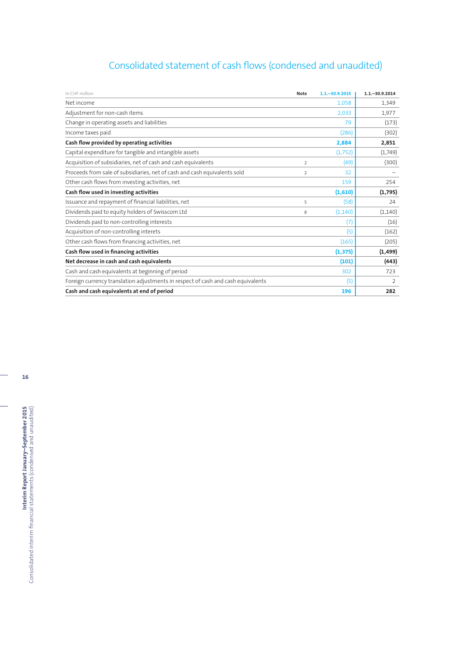## Consolidated statement of cash flows (condensed and unaudited)

| In CHF million                                                                   | Note           | $1.1 - 30.9.2015$ | $1.1 - 30.9.2014$ |
|----------------------------------------------------------------------------------|----------------|-------------------|-------------------|
| Net income                                                                       |                | 1,058             | 1,349             |
| Adjustment for non-cash items                                                    |                | 2,033             | 1,977             |
| Change in operating assets and liabilities                                       |                | 79                | (173)             |
| Income taxes paid                                                                |                | (286)             | (302)             |
| Cash flow provided by operating activities                                       |                | 2,884             | 2,851             |
| Capital expenditure for tangible and intangible assets                           |                | (1,752)           | (1,749)           |
| Acquisition of subsidiaries, net of cash and cash equivalents                    | $\overline{2}$ | (49)              | (300)             |
| Proceeds from sale of subsidiaries, net of cash and cash equivalents sold        | $\overline{2}$ | 32                |                   |
| Other cash flows from investing activities, net                                  |                | 159               | 254               |
| Cash flow used in investing activities                                           |                | (1,610)           | (1,795)           |
| Issuance and repayment of financial liabilities, net                             | 5              | (58)              | 24                |
| Dividends paid to equity holders of Swisscom Ltd                                 | 8              | (1, 140)          | (1, 140)          |
| Dividends paid to non-controlling interests                                      |                | (7)               | (16)              |
| Acquisition of non-controlling interets                                          |                | (5)               | (162)             |
| Other cash flows from financing activities, net                                  |                | (165)             | (205)             |
| Cash flow used in financing activities                                           |                | (1, 375)          | (1, 499)          |
| Net decrease in cash and cash equivalents                                        |                | (101)             | (443)             |
| Cash and cash equivalents at beginning of period                                 |                | 302               | 723               |
| Foreign currency translation adjustments in respect of cash and cash equivalents |                | (5)               | 2                 |
| Cash and cash equivalents at end of period                                       |                | 196               | 282               |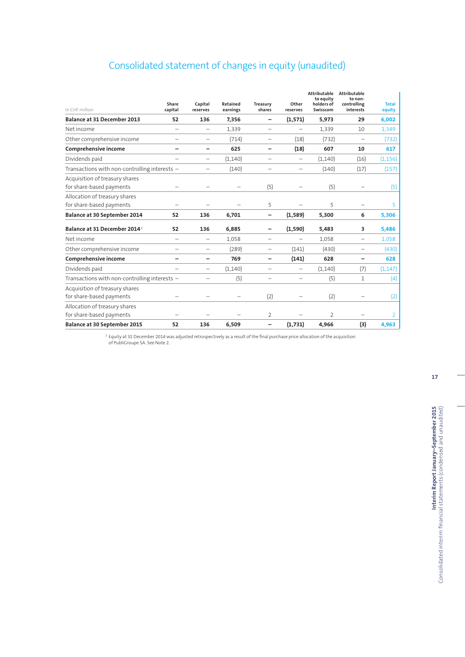## Consolidated statement of changes in equity (unaudited)

| In CHF million                                             | Share<br>capital         | Capital<br>reserves      | Retained<br>earnings | Treasury<br>shares       | Other<br>reserves        | Attributable<br>to equity<br>holders of<br>Swisscom | <b>Attributable</b><br>to non-<br>controlling<br>interests | <b>Total</b><br>equity |
|------------------------------------------------------------|--------------------------|--------------------------|----------------------|--------------------------|--------------------------|-----------------------------------------------------|------------------------------------------------------------|------------------------|
| <b>Balance at 31 December 2013</b>                         | 52                       | 136                      | 7,356                | -                        | (1,571)                  | 5,973                                               | 29                                                         | 6,002                  |
| Net income                                                 | $\overline{\phantom{0}}$ | $\overline{\phantom{0}}$ | 1.339                |                          |                          | 1,339                                               | 10                                                         | 1,349                  |
| Other comprehensive income                                 |                          | $\overline{\phantom{0}}$ | (714)                | -                        | (18)                     | (732)                                               | -                                                          | (732)                  |
| Comprehensive income                                       | -                        | -                        | 625                  | -                        | (18)                     | 607                                                 | 10                                                         | 617                    |
| Dividends paid                                             | $\overline{\phantom{0}}$ | -                        | (1,140)              | $\overline{\phantom{a}}$ | $\overline{\phantom{0}}$ | (1,140)                                             | (16)                                                       | (1, 156)               |
| Transactions with non-controlling interests -              |                          | -                        | (140)                |                          | -                        | (140)                                               | (17)                                                       | (157)                  |
| Acquisition of treasury shares<br>for share-based payments |                          |                          |                      | (5)                      |                          | (5)                                                 |                                                            | (5)                    |
| Allocation of treasury shares<br>for share-based payments  |                          |                          |                      | 5                        |                          | 5                                                   |                                                            | 5                      |
| Balance at 30 September 2014                               | 52                       | 136                      | 6,701                | -                        | (1,589)                  | 5,300                                               | 6                                                          | 5,306                  |
| Balance at 31 December 2014 <sup>1</sup>                   | 52                       | 136                      | 6,885                |                          | (1,590)                  | 5,483                                               | 3                                                          | 5,486                  |
| Net income                                                 | $\overline{\phantom{0}}$ | -                        | 1.058                | -                        |                          | 1.058                                               | -                                                          | 1,058                  |
| Other comprehensive income                                 | $\overline{\phantom{0}}$ | $\overline{\phantom{0}}$ | (289)                | $\overline{\phantom{0}}$ | (141)                    | (430)                                               |                                                            | (430)                  |
| Comprehensive income                                       | -                        | -                        | 769                  | -                        | (141)                    | 628                                                 | -                                                          | 628                    |
| Dividends paid                                             | -                        | -                        | (1,140)              | $\overline{\phantom{0}}$ | -                        | (1, 140)                                            | (7)                                                        | (1, 147)               |
| Transactions with non-controlling interests $-$            |                          | -                        | (5)                  | $\overline{\phantom{a}}$ | $\overline{\phantom{a}}$ | (5)                                                 | $\mathbf{1}$                                               | (4)                    |
| Acquisition of treasury shares<br>for share-based payments |                          |                          |                      | (2)                      |                          | (2)                                                 |                                                            | (2)                    |
| Allocation of treasury shares<br>for share-based payments  |                          |                          |                      | 2                        |                          | 2                                                   |                                                            | 2                      |
| <b>Balance at 30 September 2015</b>                        | 52                       | 136                      | 6,509                | $\overline{\phantom{0}}$ | (1,731)                  | 4,966                                               | (3)                                                        | 4,963                  |
|                                                            |                          |                          |                      |                          |                          |                                                     |                                                            |                        |

 $1$  Equity at 31 December 2014 was adjusted retrospectively as a result of the final purchase price allocation of the acquisition of PubliGroupe SA. See Note 2.

**17**

**Interim Report January-September 2015**<br>Consolidated interim financial statements (condensed and unaudited) **Interim Report January–September 2015** Consolidated interim financial statements (condensed and unaudited)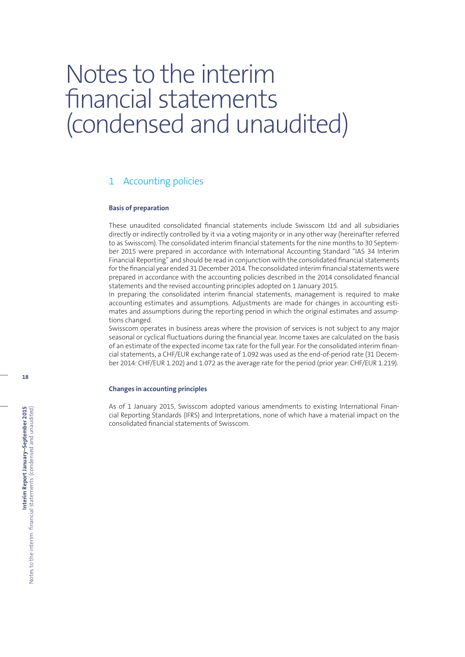# Notes to the interim financial statements (condensed and unaudited)

## 1 Accounting policies

#### **Basis of preparation**

These unaudited consolidated financial statements include Swisscom Ltd and all subsidiaries directly or indirectly controlled by it via a voting majority or in any other way (hereinafter referred to as Swisscom). The consolidated interim financial statements for the nine months to 30 September 2015 were prepared in accordance with International Accounting Standard "IAS 34 Interim Financial Reporting" and should be read in conjunction with the consolidated financial statements for the financial year ended 31 December 2014. The consolidated interim financial statements were prepared in accordance with the accounting policies described in the 2014 consolidated financial statements and the revised accounting principles adopted on 1 January 2015.

In preparing the consolidated interim financial statements, management is required to make accounting estimates and assumptions. Adjustments are made for changes in accounting estimates and assumptions during the reporting period in which the original estimates and assumptions changed.

Swisscom operates in business areas where the provision of services is not subject to any major seasonal or cyclical fluctuations during the financial year. Income taxes are calculated on the basis of an estimate of the expected income tax rate for the full year. For the consolidated interim financial statements, a CHF/EUR exchange rate of 1.092 was used as the end-of-period rate (31 December 2014: CHF/EUR 1.202) and 1.072 as the average rate for the period (prior year: CHF/EUR 1.219).

### **Changes in accounting principles**

As of 1 January 2015, Swisscom adopted various amendments to existing International Financial Reporting Standards (IFRS) and Interpretations, none of which have a material impact on the consolidated financial statements of Swisscom.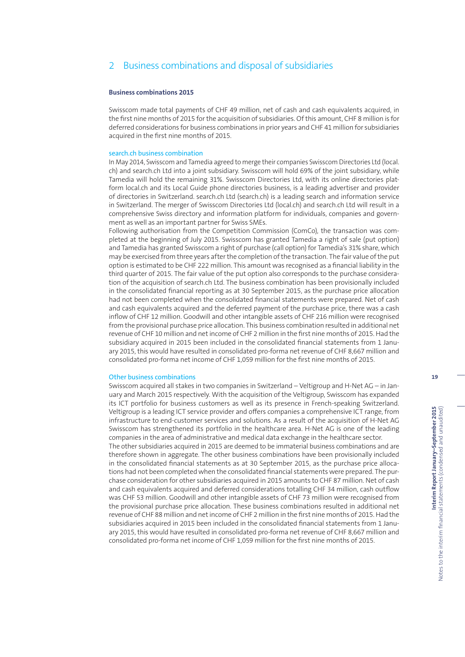## 2 Business combinations and disposal of subsidiaries

#### **Business combinations 2015**

Swisscom made total payments of CHF 49 million, net of cash and cash equivalents acquired, in the first nine months of 2015 for the acquisition of subsidiaries. Of this amount, CHF 8 million is for deferred considerations for business combinations in prior years and CHF 41 million for subsidiaries acquired in the first nine months of 2015.

#### search.ch business combination

In May 2014, Swisscom and Tamedia agreed to merge their companies Swisscom Directories Ltd (local. ch) and search.ch Ltd into a joint subsidiary. Swisscom will hold 69% of the joint subsidiary, while Tamedia will hold the remaining 31%. Swisscom Directories Ltd, with its online directories platform local.ch and its Local Guide phone directories business, is a leading advertiser and provider of directories in Switzerland. search.ch Ltd (search.ch) is a leading search and information service in Switzerland. The merger of Swisscom Directories Ltd (local.ch) and search.ch Ltd will result in a comprehensive Swiss directory and information platform for individuals, companies and government as well as an important partner for Swiss SMEs.

Following authorisation from the Competition Commission (ComCo), the transaction was completed at the beginning of July 2015. Swisscom has granted Tamedia a right of sale (put option) and Tamedia has granted Swisscom a right of purchase (call option) for Tamedia's 31% share, which may be exercised from three years after the completion of the transaction. The fair value of the put option is estimated to be CHF 222 million. This amount was recognised as a financial liability in the third quarter of 2015. The fair value of the put option also corresponds to the purchase consideration of the acquisition of search.ch Ltd. The business combination has been provisionally included in the consolidated financial reporting as at 30 September 2015, as the purchase price allocation had not been completed when the consolidated financial statements were prepared. Net of cash and cash equivalents acquired and the deferred payment of the purchase price, there was a cash inflow of CHF 12 million. Goodwill and other intangible assets of CHF 216 million were recognised from the provisional purchase price allocation. This business combination resulted in additional net revenue of CHF 10 million and net income of CHF 2 million in the first nine months of 2015. Had the subsidiary acquired in 2015 been included in the consolidated financial statements from 1 January 2015, this would have resulted in consolidated pro-forma net revenue of CHF 8,667 million and consolidated pro-forma net income of CHF 1,059 million for the first nine months of 2015.

#### Other business combinations

Swisscom acquired all stakes in two companies in Switzerland – Veltigroup and H-Net AG – in January and March 2015 respectively. With the acquisition of the Veltigroup, Swisscom has expanded its ICT portfolio for business customers as well as its presence in French-speaking Switzerland. Veltigroup is a leading ICT service provider and offers companies a comprehensive ICT range, from infrastructure to end-customer services and solutions. As a result of the acquisition of H-Net AG Swisscom has strengthened its portfolio in the healthcare area. H-Net AG is one of the leading companies in the area of administrative and medical data exchange in the healthcare sector.

The other subsidiaries acquired in 2015 are deemed to be immaterial business combinations and are therefore shown in aggregate. The other business combinations have been provisionally included in the consolidated financial statements as at 30 September 2015, as the purchase price allocations had not been completed when the consolidated financial statements were prepared. The purchase consideration for other subsidiaries acquired in 2015 amounts to CHF 87 million. Net of cash and cash equivalents acquired and deferred considerations totalling CHF 34 million, cash outflow was CHF 53 million. Goodwill and other intangible assets of CHF 73 million were recognised from the provisional purchase price allocation. These business combinations resulted in additional net revenue of CHF 88 million and net income of CHF 2 million in the first nine months of 2015. Had the subsidiaries acquired in 2015 been included in the consolidated financial statements from 1 January 2015, this would have resulted in consolidated pro-forma net revenue of CHF 8,667 million and consolidated pro-forma net income of CHF 1,059 million for the first nine months of 2015.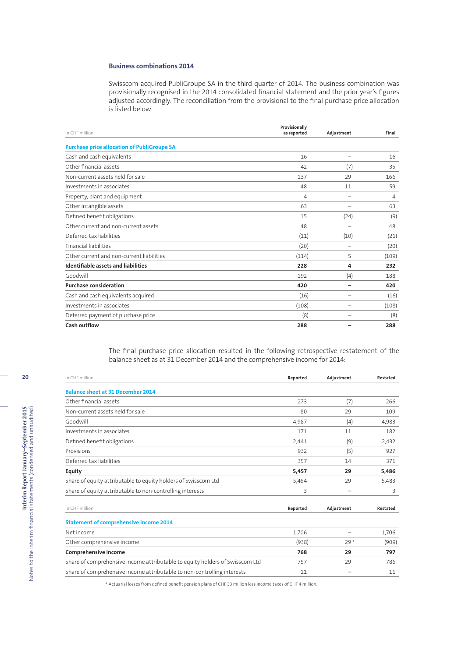### **Business combinations 2014**

Swisscom acquired PubliGroupe SA in the third quarter of 2014. The business combination was provisionally recognised in the 2014 consolidated financial statement and the prior year's figures adjusted accordingly. The reconciliation from the provisional to the final purchase price allocation is listed below:

| In CHF million                                     | Provisionally<br>as reported | Adjustment               | Final |
|----------------------------------------------------|------------------------------|--------------------------|-------|
| <b>Purchase price allocation of PubliGroupe SA</b> |                              |                          |       |
| Cash and cash equivalents                          | 16                           |                          | 16    |
| Other financial assets                             | 42                           | (7)                      | 35    |
| Non-current assets held for sale                   | 137                          | 29                       | 166   |
| Investments in associates                          | 48                           | 11                       | 59    |
| Property, plant and equipment                      | 4                            | -                        | 4     |
| Other intangible assets                            | 63                           |                          | 63    |
| Defined benefit obligations                        | 15                           | (24)                     | (9)   |
| Other current and non-current assets               | 48                           |                          | 48    |
| Deferred tax liabilities                           | (11)                         | (10)                     | (21)  |
| <b>Financial liabilities</b>                       | (20)                         | -                        | (20)  |
| Other current and non-current liabilities          | (114)                        | 5                        | (109) |
| <b>Identifiable assets and liabilities</b>         | 228                          | 4                        | 232   |
| Goodwill                                           | 192                          | (4)                      | 188   |
| <b>Purchase consideration</b>                      | 420                          | $\overline{\phantom{0}}$ | 420   |
| Cash and cash equivalents acquired                 | (16)                         |                          | (16)  |
| Investments in associates                          | (108)                        |                          | (108) |
| Deferred payment of purchase price                 | (8)                          |                          | (8)   |
| Cash outflow                                       | 288                          |                          | 288   |

The final purchase price allocation resulted in the following retrospective restatement of the balance sheet as at 31 December 2014 and the comprehensive income for 2014:

| In CHF million                                                               | Reported | Adjustment      | Restated |
|------------------------------------------------------------------------------|----------|-----------------|----------|
| <b>Balance sheet at 31 December 2014</b>                                     |          |                 |          |
| Other financial assets                                                       | 273      | (7)             | 266      |
| Non-current assets held for sale                                             | 80       | 29              | 109      |
| Goodwill                                                                     | 4,987    | (4)             | 4,983    |
| Investments in associates                                                    | 171      | 11              | 182      |
| Defined benefit obligations                                                  | 2,441    | (9)             | 2,432    |
| Provisions                                                                   | 932      | (5)             | 927      |
| Deferred tax liabilities                                                     | 357      | 14              | 371      |
| <b>Equity</b>                                                                | 5,457    | 29              | 5,486    |
| Share of equity attributable to equity holders of Swisscom Ltd               | 5,454    | 29              | 5,483    |
| Share of equity attributable to non-controlling interests                    | 3        | -               | 3        |
| In CHF million                                                               | Reported | Adjustment      | Restated |
| <b>Statement of comprehensive income 2014</b>                                |          |                 |          |
| Net income                                                                   | 1,706    | -               | 1,706    |
| Other comprehensive income                                                   | (938)    | 29 <sup>1</sup> | (909)    |
| Comprehensive income                                                         | 768      | 29              | 797      |
| Share of comprehensive income attributable to equity holders of Swisscom Ltd | 757      | 29              | 786      |
| Share of comprehensive income attributable to non-controlling interests      | 11       |                 | 11       |

<sup>1</sup> Actuarial losses from defined benefit pension plans of CHF 33 million less income taxes of CHF 4 million.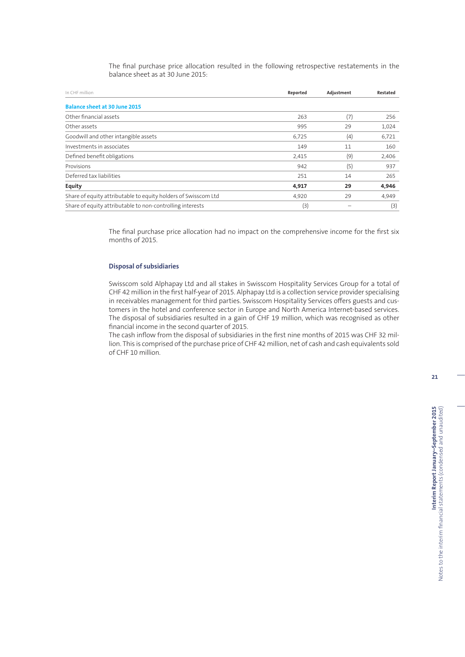The final purchase price allocation resulted in the following retrospective restatements in the balance sheet as at 30 June 2015:

| In CHF million                                                 | Reported | Adjustment | Restated |
|----------------------------------------------------------------|----------|------------|----------|
| <b>Balance sheet at 30 June 2015</b>                           |          |            |          |
| Other financial assets                                         | 263      | (7)        | 256      |
| Other assets                                                   | 995      | 29         | 1,024    |
| Goodwill and other intangible assets                           | 6,725    | (4)        | 6,721    |
| Investments in associates                                      | 149      | 11         | 160      |
| Defined benefit obligations                                    | 2,415    | (9)        | 2,406    |
| Provisions                                                     | 942      | (5)        | 937      |
| Deferred tax liabilities                                       | 251      | 14         | 265      |
| <b>Equity</b>                                                  | 4,917    | 29         | 4,946    |
| Share of equity attributable to equity holders of Swisscom Ltd | 4,920    | 29         | 4,949    |
| Share of equity attributable to non-controlling interests      | (3)      |            | (3)      |

The final purchase price allocation had no impact on the comprehensive income for the first six months of 2015.

#### **Disposal of subsidiaries**

Swisscom sold Alphapay Ltd and all stakes in Swisscom Hospitality Services Group for a total of CHF 42 million in the first half-year of 2015. Alphapay Ltd is a collection service provider specialising in receivables management for third parties. Swisscom Hospitality Services offers guests and customers in the hotel and conference sector in Europe and North America Internet-based services. The disposal of subsidiaries resulted in a gain of CHF 19 million, which was recognised as other financial income in the second quarter of 2015.

The cash inflow from the disposal of subsidiaries in the first nine months of 2015 was CHF 32 million. This is comprised of the purchase price of CHF 42 million, net of cash and cash equivalents sold of CHF 10 million.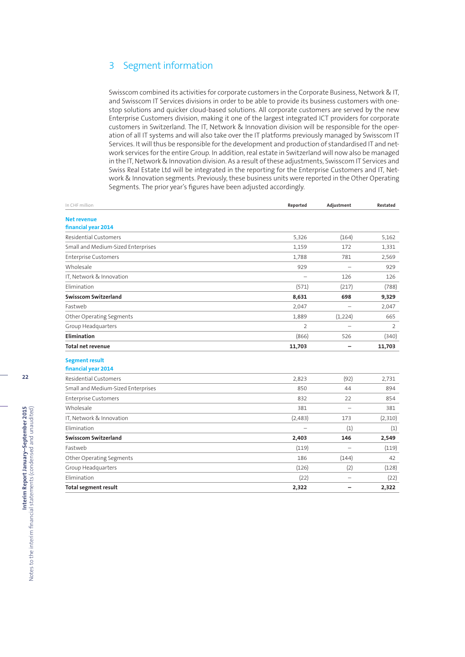## 3 Segment information

Swisscom combined its activities for corporate customers in the Corporate Business, Network & IT, and Swisscom IT Services divisions in order to be able to provide its business customers with onestop solutions and quicker cloud-based solutions. All corporate customers are served by the new Enterprise Customers division, making it one of the largest integrated ICT providers for corporate customers in Switzerland. The IT, Network & Innovation division will be responsible for the operation of all IT systems and will also take over the IT platforms previously managed by Swisscom IT Services. It will thus be responsible for the development and production of standardised IT and network services for the entire Group. In addition, real estate in Switzerland will now also be managed in the IT, Network & Innovation division. As a result of these adjustments, Swisscom IT Services and Swiss Real Estate Ltd will be integrated in the reporting for the Enterprise Customers and IT, Network & Innovation segments. Previously, these business units were reported in the Other Operating Segments. The prior year's figures have been adjusted accordingly.

| In CHF million                     | Reported                 | Adjustment               | Restated |
|------------------------------------|--------------------------|--------------------------|----------|
| <b>Net revenue</b>                 |                          |                          |          |
| financial year 2014                |                          |                          |          |
| <b>Residential Customers</b>       | 5,326                    | (164)                    | 5.162    |
| Small and Medium-Sized Enterprises | 1,159                    | 172                      | 1,331    |
| <b>Enterprise Customers</b>        | 1,788                    | 781                      | 2,569    |
| Wholesale                          | 929                      | $\equiv$                 | 929      |
| IT, Network & Innovation           |                          | 126                      | 126      |
| Elimination                        | (571)                    | (217)                    | (788)    |
| <b>Swisscom Switzerland</b>        | 8,631                    | 698                      | 9,329    |
| Fastweb                            | 2,047                    | $\overline{\phantom{0}}$ | 2,047    |
| Other Operating Segments           | 1,889                    | (1,224)                  | 665      |
| Group Headquarters                 | 2                        |                          | 2        |
| Elimination                        | (866)                    | 526                      | (340)    |
| <b>Total net revenue</b>           | 11,703                   |                          | 11,703   |
| <b>Segment result</b>              |                          |                          |          |
| financial year 2014                |                          |                          |          |
| <b>Residential Customers</b>       | 2,823                    | (92)                     | 2,731    |
| Small and Medium-Sized Enterprises | 850                      | 44                       | 894      |
| <b>Enterprise Customers</b>        | 832                      | 22                       | 854      |
| Wholesale                          | 381                      | $\overline{\phantom{0}}$ | 381      |
| IT, Network & Innovation           | (2,483)                  | 173                      | (2,310)  |
| Elimination                        | $\overline{\phantom{0}}$ | (1)                      | (1)      |
| <b>Swisscom Switzerland</b>        | 2,403                    | 146                      | 2,549    |
| Fastweb                            | (119)                    | $\overline{\phantom{0}}$ | (119)    |
| Other Operating Segments           | 186                      | (144)                    | 42       |
| Group Headquarters                 | (126)                    | (2)                      | (128)    |
| Elimination                        | (22)                     |                          | (22)     |
| <b>Total segment result</b>        | 2,322                    |                          | 2,322    |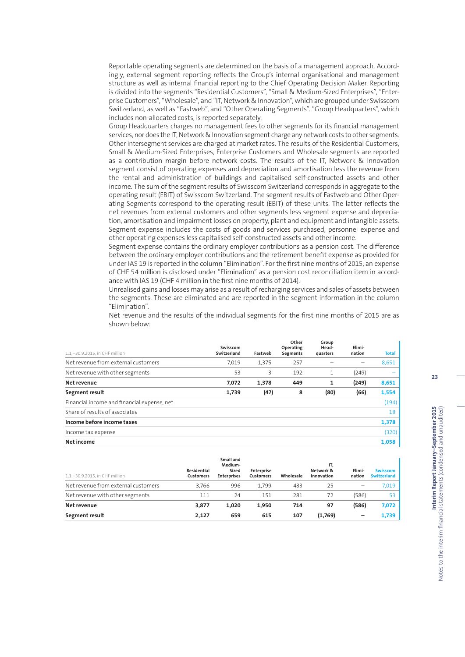Reportable operating segments are determined on the basis of a management approach. Accordingly, external segment reporting reflects the Group's internal organisational and management structure as well as internal financial reporting to the Chief Operating Decision Maker. Reporting is divided into the segments "Residential Customers", "Small & Medium-Sized Enterprises", "Enterprise Customers", "Wholesale", and "IT, Network & Innovation", which are grouped under Swisscom Switzerland, as well as "Fastweb", and "Other Operating Segments". "Group Headquarters", which includes non-allocated costs, is reported separately.

Group Headquarters charges no management fees to other segments for its financial management services, nor does the IT, Network & Innovation segment charge any network costs to other segments. Other intersegment services are charged at market rates. The results of the Residential Customers, Small & Medium-Sized Enterprises, Enterprise Customers and Wholesale segments are reported as a contribution margin before network costs. The results of the IT, Network & Innovation segment consist of operating expenses and depreciation and amortisation less the revenue from the rental and administration of buildings and capitalised self-constructed assets and other income. The sum of the segment results of Swisscom Switzerland corresponds in aggregate to the operating result (EBIT) of Swisscom Switzerland. The segment results of Fastweb and Other Operating Segments correspond to the operating result (EBIT) of these units. The latter reflects the net revenues from external customers and other segments less segment expense and depreciation, amortisation and impairment losses on property, plant and equipment and intangible assets. Segment expense includes the costs of goods and services purchased, personnel expense and other operating expenses less capitalised self-constructed assets and other income.

Segment expense contains the ordinary employer contributions as a pension cost. The difference between the ordinary employer contributions and the retirement benefit expense as provided for under IAS 19 is reported in the column "Elimination". For the first nine months of 2015, an expense of CHF 54 million is disclosed under "Elimination" as a pension cost reconciliation item in accordance with IAS 19 (CHF 4 million in the first nine months of 2014).

Unrealised gains and losses may arise as a result of recharging services and sales of assets between the segments. These are eliminated and are reported in the segment information in the column "Elimination".

Net revenue and the results of the individual segments for the first nine months of 2015 are as shown below:

| 1.1.-30.9.2015, in CHF million              | Swisscom<br>Switzerland | Fastweb | Other<br>Operating<br>Segments | Group<br>Head-<br>quarters | Elimi-<br>nation | Total |
|---------------------------------------------|-------------------------|---------|--------------------------------|----------------------------|------------------|-------|
| Net revenue from external customers         | 7.019                   | 1,375   | 257                            |                            |                  | 8,651 |
| Net revenue with other segments             | 53                      | 3       | 192                            | 1                          | (249)            |       |
| Net revenue                                 | 7,072                   | 1,378   | 449                            | 1                          | (249)            | 8,651 |
| Segment result                              | 1,739                   | (47)    | 8                              | (80)                       | (66)             | 1,554 |
| Financial income and financial expense, net |                         |         |                                |                            |                  | (194) |
| Share of results of associates              |                         |         |                                |                            |                  | 18    |
| Income before income taxes                  |                         |         |                                |                            |                  | 1,378 |
| Income tax expense                          |                         |         |                                |                            |                  | (320) |
| Net income                                  |                         |         |                                |                            |                  | 1,058 |

| 1.1.-30.9.2015, in CHF million      | Residential<br><b>Customers</b> | Small and<br>Medium-<br>Sized<br><b>Enterprises</b> | Enterprise<br><b>Customers</b> | Wholesale | IT.<br>Network &<br>Innovation | Elimi-<br>nation | <b>Swisscom</b><br><b>Switzerland</b> |
|-------------------------------------|---------------------------------|-----------------------------------------------------|--------------------------------|-----------|--------------------------------|------------------|---------------------------------------|
| Net revenue from external customers | 3.766                           | 996                                                 | 1.799                          | 433       | 25                             |                  | 7,019                                 |
| Net revenue with other segments     | 111                             | 24                                                  | 151                            | 281       | 72                             | (586)            | 53                                    |
| Net revenue                         | 3,877                           | 1.020                                               | 1,950                          | 714       | 97                             | (586)            | 7,072                                 |
| Segment result                      | 2.127                           | 659                                                 | 615                            | 107       | (1,769)                        |                  | 1,739                                 |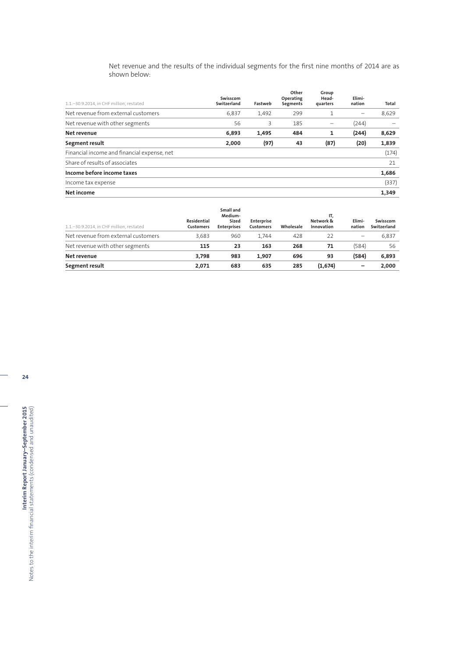Net revenue and the results of the individual segments for the first nine months of 2014 are as shown below:

| 1.1.-30.9.2014, in CHF million, restated    | Swisscom<br>Switzerland | Fastweb | Other<br>Operating<br>Segments | Group<br>Head-<br>quarters | Elimi-<br>nation | Total |
|---------------------------------------------|-------------------------|---------|--------------------------------|----------------------------|------------------|-------|
| Net revenue from external customers         | 6.837                   | 1,492   | 299                            |                            |                  | 8,629 |
| Net revenue with other segments             | 56                      | 3       | 185                            |                            | (244)            |       |
| Net revenue                                 | 6,893                   | 1,495   | 484                            | 1                          | (244)            | 8,629 |
| Segment result                              | 2,000                   | (97)    | 43                             | (87)                       | (20)             | 1,839 |
| Financial income and financial expense, net |                         |         |                                |                            |                  | (174) |
| Share of results of associates              |                         |         |                                |                            |                  | 21    |
| Income before income taxes                  |                         |         |                                |                            |                  | 1,686 |
| Income tax expense                          |                         |         |                                |                            |                  | (337) |
| Net income                                  |                         |         |                                |                            |                  | 1,349 |

| 1.1 .- 30.9.2014. in CHF million. restated | Residential<br><b>Customers</b> | Small and<br>Medium-<br>Sized<br><b>Enterprises</b> | Enterprise<br><b>Customers</b> | Wholesale | IT,<br>Network &<br>Innovation | Elimi-<br>nation         | Swisscom<br>Switzerland |
|--------------------------------------------|---------------------------------|-----------------------------------------------------|--------------------------------|-----------|--------------------------------|--------------------------|-------------------------|
| Net revenue from external customers        | 3.683                           | 960                                                 | 1.744                          | 428       | 22                             | $\overline{\phantom{0}}$ | 6.837                   |
| Net revenue with other segments            | 115                             | 23                                                  | 163                            | 268       | 71                             | (584)                    | 56                      |
| Net revenue                                | 3.798                           | 983                                                 | 1.907                          | 696       | 93                             | (584)                    | 6,893                   |
| Segment result                             | 2.071                           | 683                                                 | 635                            | 285       | (1,674)                        | -                        | 2,000                   |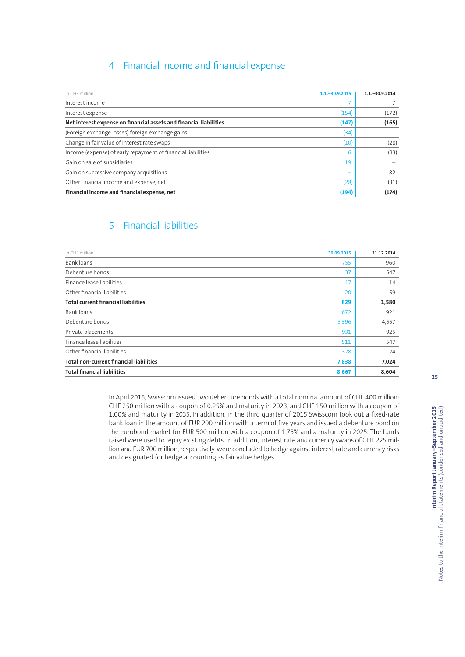## 4 Financial income and financial expense

| In CHF million                                                     | $1.1 - 30.9.2015$ | $1.1 - 30.9.2014$ |
|--------------------------------------------------------------------|-------------------|-------------------|
| Interest income                                                    |                   |                   |
| Interest expense                                                   | (154)             | (172)             |
| Net interest expense on financial assets and financial liabilities | (147)             | (165)             |
| (Foreign exchange losses) foreign exchange gains                   | (34)              |                   |
| Change in fair value of interest rate swaps                        | (10)              | (28)              |
| Income (expense) of early repayment of financial liabilities       | 6                 | (33)              |
| Gain on sale of subsidiaries                                       | 19                |                   |
| Gain on successive company acquisitions                            |                   | 82                |
| Other financial income and expense, net                            | (28)              | (31)              |
| Financial income and financial expense, net                        | (194)             | (174)             |

## 5 Financial liabilities

| In CHF million                                 | 30.09.2015 | 31.12.2014 |
|------------------------------------------------|------------|------------|
| Bank loans                                     | 755        | 960        |
| Debenture bonds                                | 37         | 547        |
| Finance lease liabilities                      | 17         | 14         |
| Other financial liabilities                    | 20         | 59         |
| <b>Total current financial liabilities</b>     | 829        | 1,580      |
| Bank loans                                     | 672        | 921        |
| Debenture bonds                                | 5,396      | 4,557      |
| Private placements                             | 931        | 925        |
| Finance lease liabilities                      | 511        | 547        |
| Other financial liabilities                    | 328        | 74         |
| <b>Total non-current financial liabilities</b> | 7,838      | 7,024      |
| <b>Total financial liabilities</b>             | 8,667      | 8,604      |

In April 2015, Swisscom issued two debenture bonds with a total nominal amount of CHF 400 million: CHF 250 million with a coupon of 0.25% and maturity in 2023, and CHF 150 million with a coupon of 1.00% and maturity in 2035. In addition, in the third quarter of 2015 Swisscom took out a fixed-rate bank loan in the amount of EUR 200 million with a term of five years and issued a debenture bond on the eurobond market for EUR 500 million with a coupon of 1.75% and a maturity in 2025. The funds raised were used to repay existing debts. In addition, interest rate and currency swaps of CHF 225 million and EUR 700 million, respectively, were concluded to hedge against interest rate and currency risks and designated for hedge accounting as fair value hedges.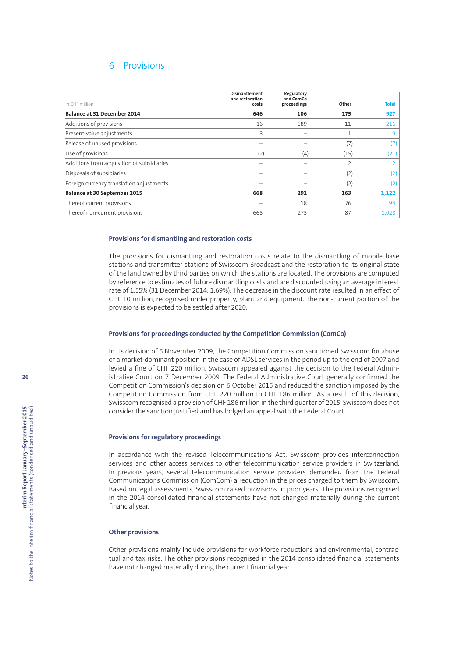## 6 Provisions

|                                            | <b>Dismantlement</b><br>and restoration | Regulatory<br>and ComCo |       |                   |
|--------------------------------------------|-----------------------------------------|-------------------------|-------|-------------------|
| In CHF million                             | costs                                   | proceedings             | Other | <b>Total</b>      |
| <b>Balance at 31 December 2014</b>         | 646                                     | 106                     | 175   | 927               |
| Additions of provisions                    | 16                                      | 189                     | 11    | 216               |
| Present-value adjustments                  | 8                                       |                         | 1     | 9                 |
| Release of unused provisions               |                                         |                         | (7)   | (7                |
| Use of provisions                          | (2)                                     | (4)                     | (15)  | (21)              |
| Additions from acquisition of subsidiaries |                                         |                         | 2     | ∍                 |
| Disposals of subsidiaries                  |                                         |                         | (2)   | $\left( 2\right)$ |
| Foreign currency translation adjustments   |                                         |                         | (2)   | (2                |
| Balance at 30 September 2015               | 668                                     | 291                     | 163   | 1,122             |
| Thereof current provisions                 |                                         | 18                      | 76    | 94                |
| Thereof non-current provisions             | 668                                     | 273                     | 87    | 1,028             |

#### **Provisions for dismantling and restoration costs**

The provisions for dismantling and restoration costs relate to the dismantling of mobile base stations and transmitter stations of Swisscom Broadcast and the restoration to its original state of the land owned by third parties on which the stations are located. The provisions are computed by reference to estimates of future dismantling costs and are discounted using an average interest rate of 1.55% (31 December 2014: 1.69%). The decrease in the discount rate resulted in an effect of CHF 10 million, recognised under property, plant and equipment. The non-current portion of the provisions is expected to be settled after 2020.

#### **Provisions for proceedings conducted by the Competition Commission (ComCo)**

In its decision of 5 November 2009, the Competition Commission sanctioned Swisscom for abuse of a market-dominant position in the case of ADSL services in the period up to the end of 2007 and levied a fine of CHF 220 million. Swisscom appealed against the decision to the Federal Administrative Court on 7 December 2009. The Federal Administrative Court generally confirmed the Competition Commission's decision on 6 October 2015 and reduced the sanction imposed by the Competition Commission from CHF 220 million to CHF 186 million. As a result of this decision, Swisscom recognised a provision of CHF 186 million in the third quarter of 2015. Swisscom does not consider the sanction justified and has lodged an appeal with the Federal Court.

#### **Provisions for regulatory proceedings**

In accordance with the revised Telecommunications Act, Swisscom provides interconnection services and other access services to other telecommunication service providers in Switzerland. In previous years, several telecommunication service providers demanded from the Federal Communications Commission (ComCom) a reduction in the prices charged to them by Swisscom. Based on legal assessments, Swisscom raised provisions in prior years. The provisions recognised in the 2014 consolidated financial statements have not changed materially during the current financial year.

#### **Other provisions**

Other provisions mainly include provisions for workforce reductions and environmental, contractual and tax risks. The other provisions recognised in the 2014 consolidated financial statements have not changed materially during the current financial year.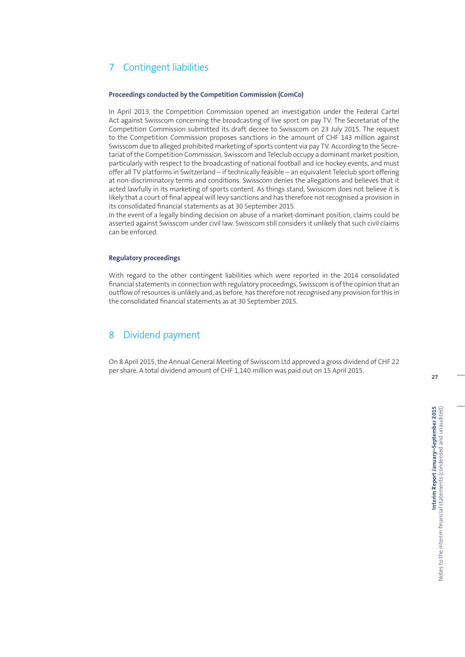## 7 Contingent liabilities

#### **Proceedings conducted by the Competition Commission (ComCo)**

In April 2013, the Competition Commission opened an investigation under the Federal Cartel Act against Swisscom concerning the broadcasting of live sport on pay TV. The Secretariat of the Competition Commission submitted its draft decree to Swisscom on 23 July 2015. The request to the Competition Commission proposes sanctions in the amount of CHF 143 million against Swisscom due to alleged prohibited marketing of sports content via pay TV. According to the Secretariat of the Competition Commission, Swisscom and Teleclub occupy a dominant market position, particularly with respect to the broadcasting of national football and ice hockey events, and must offer all TV platforms in Switzerland – if technically feasible – an equivalent Teleclub sport offering at non-discriminatory terms and conditions. Swisscom denies the allegations and believes that it acted lawfully in its marketing of sports content. As things stand, Swisscom does not believe it is likely that a court of final appeal will levy sanctions and has therefore not recognised a provision in its consolidated financial statements as at 30 September 2015.

In the event of a legally binding decision on abuse of a market-dominant position, claims could be asserted against Swisscom under civil law. Swisscom still considers it unlikely that such civil claims can be enforced.

#### **Regulatory proceedings**

With regard to the other contingent liabilities which were reported in the 2014 consolidated financial statements in connection with regulatory proceedings, Swisscom is of the opinion that an outflow of resources is unlikely and, as before, has therefore not recognised any provision for this in the consolidated financial statements as at 30 September 2015.

## 8 Dividend payment

On 8 April 2015, the Annual General Meeting of Swisscom Ltd approved a gross dividend of CHF 22 per share. A total dividend amount of CHF 1,140 million was paid out on 15 April 2015.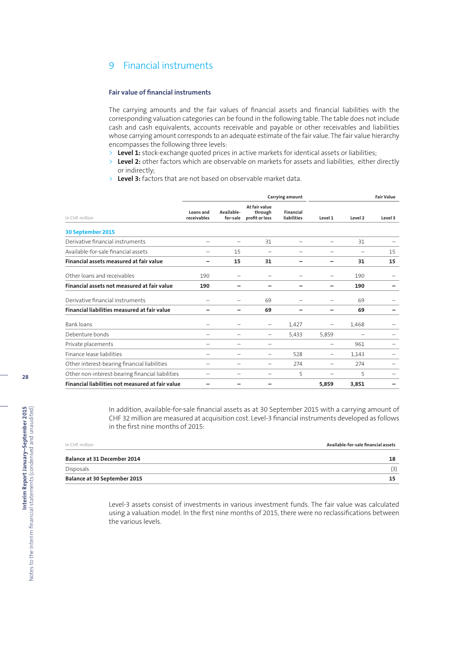## 9 Financial instruments

### **Fair value of financial instruments**

The carrying amounts and the fair values of financial assets and financial liabilities with the corresponding valuation categories can be found in the following table. The table does not include cash and cash equivalents, accounts receivable and payable or other receivables and liabilities whose carrying amount corresponds to an adequate estimate of the fair value. The fair value hierarchy encompasses the following three levels:

- > Level 1: stock-exchange quoted prices in active markets for identical assets or liabilities;
- > **Level 2:** other factors which are observable on markets for assets and liabilities, either directly or indirectly;
- > **Level 3:** factors that are not based on observable market data.

|                                                  |                          |                        | Carrying amount                            | <b>Fair Value</b>               |         |         |         |  |
|--------------------------------------------------|--------------------------|------------------------|--------------------------------------------|---------------------------------|---------|---------|---------|--|
| In CHF million                                   | Loans and<br>receivables | Available-<br>for-sale | At fair value<br>through<br>profit or loss | <b>Financial</b><br>liabilities | Level 1 | Level 2 | Level 3 |  |
| 30 September 2015                                |                          |                        |                                            |                                 |         |         |         |  |
| Derivative financial instruments                 |                          |                        | 31                                         |                                 |         | 31      |         |  |
| Available-for-sale financial assets              |                          | 15                     | $\overline{\phantom{0}}$                   |                                 |         | -       | 15      |  |
| Financial assets measured at fair value          |                          | 15                     | 31                                         |                                 |         | 31      | 15      |  |
| Other loans and receivables                      | 190                      |                        |                                            |                                 |         | 190     |         |  |
| Financial assets not measured at fair value      | 190                      |                        |                                            |                                 |         | 190     |         |  |
| Derivative financial instruments                 |                          |                        | 69                                         |                                 |         | 69      |         |  |
| Financial liabilities measured at fair value     |                          |                        | 69                                         |                                 |         | 69      |         |  |
| <b>Bank loans</b>                                |                          |                        | -                                          | 1,427                           | -       | 1,468   |         |  |
| Debenture bonds                                  |                          | -                      | -                                          | 5,433                           | 5,859   |         |         |  |
| Private placements                               |                          |                        |                                            |                                 |         | 961     |         |  |
| Finance lease liabilities                        |                          |                        |                                            | 528                             | -       | 1,143   |         |  |
| Other interest-bearing financial liabilities     |                          |                        |                                            | 274                             |         | 274     |         |  |
| Other non-interest-bearing financial liabilities |                          |                        |                                            | 5                               |         | 5       |         |  |
| Financial liabilities not measured at fair value |                          |                        |                                            |                                 | 5,859   | 3,851   |         |  |

In addition, available-for-sale financial assets as at 30 September 2015 with a carrying amount of CHF 32 million are measured at acquisition cost. Level-3 financial instruments developed as follows in the first nine months of 2015:

| Balance at 30 September 2015 | 15                                  |
|------------------------------|-------------------------------------|
| Disposals                    |                                     |
| Balance at 31 December 2014  | 18                                  |
| In CHF million               | Available-for-sale financial assets |

Level-3 assets consist of investments in various investment funds. The fair value was calculated using a valuation model. In the first nine months of 2015, there were no reclassifications between the various levels.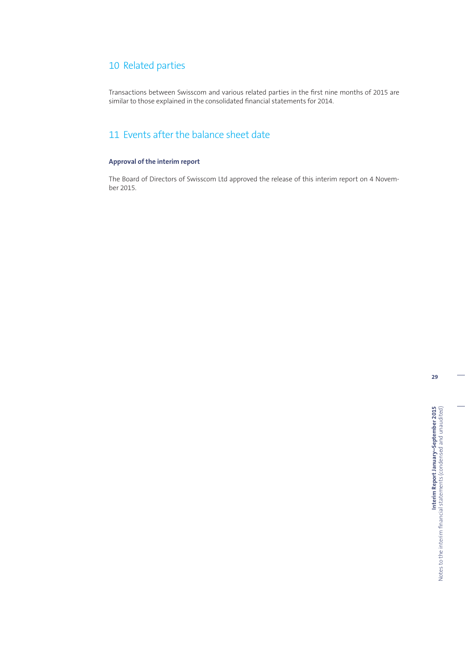## 10 Related parties

Transactions between Swisscom and various related parties in the first nine months of 2015 are similar to those explained in the consolidated financial statements for 2014.

## 11 Events after the balance sheet date

## **Approval of the interim report**

The Board of Directors of Swisscom Ltd approved the release of this interim report on 4 November 2015.

**29**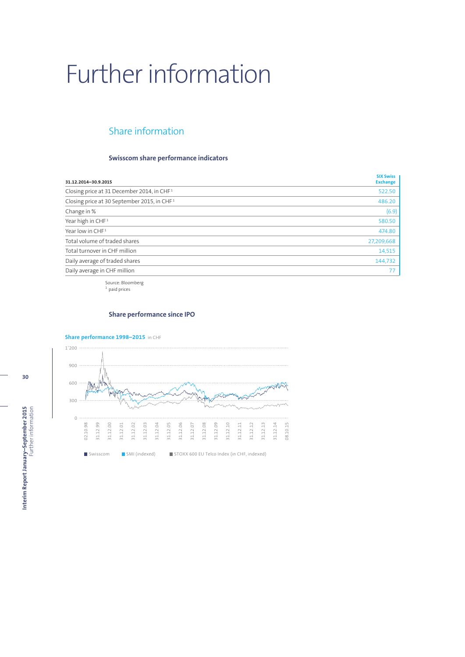# Further information

## Share information

## **Swisscom share performance indicators**

| 31.12.2014-30.9.2015                                    | <b>SIX Swiss</b><br><b>Exchange</b> |
|---------------------------------------------------------|-------------------------------------|
| Closing price at 31 December 2014, in CHF <sup>1</sup>  | 522.50                              |
| Closing price at 30 September 2015, in CHF <sup>1</sup> | 486.20                              |
| Change in %                                             | (6.9)                               |
| Year high in CHF <sup>1</sup>                           | 580.50                              |
| Year low in CHF <sup>1</sup>                            | 474.80                              |
| Total volume of traded shares                           | 27,209,668                          |
| Total turnover in CHF million                           | 14,515                              |
| Daily average of traded shares                          | 144,732                             |
| Daily average in CHF million                            |                                     |

Source: Bloomberg <sup>1</sup> paid prices

## **Share performance since IPO**

## **Share performance 1998–2015** in CHF



**30**

**Interim Report January-September 2015**<br>Further information **Interim Report January–September 2015** Further information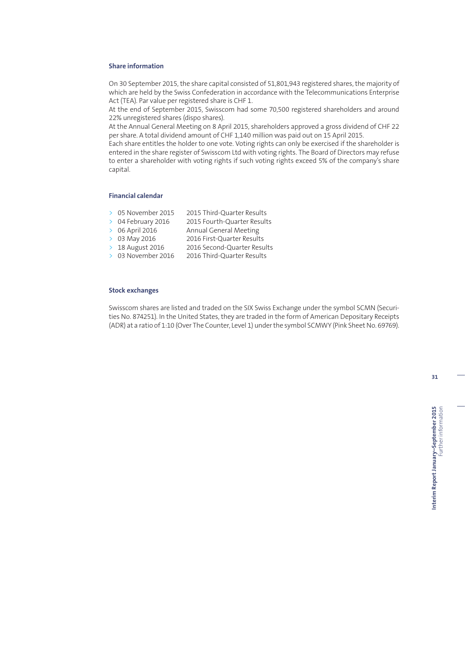### **Share information**

On 30 September 2015, the share capital consisted of 51,801,943 registered shares, the majority of which are held by the Swiss Confederation in accordance with the Telecommunications Enterprise Act (TEA). Par value per registered share is CHF 1.

At the end of September 2015, Swisscom had some 70,500 registered shareholders and around 22% unregistered shares (dispo shares).

At the Annual General Meeting on 8 April 2015, shareholders approved a gross dividend of CHF 22 per share. A total dividend amount of CHF 1,140 million was paid out on 15 April 2015.

Each share entitles the holder to one vote. Voting rights can only be exercised if the shareholder is entered in the share register of Swisscom Ltd with voting rights. The Board of Directors may refuse to enter a shareholder with voting rights if such voting rights exceed 5% of the company's share capital.

### **Financial calendar**

|  |  | 05 November 2015 |  | 2015 Third-Ouarter Results |
|--|--|------------------|--|----------------------------|
|--|--|------------------|--|----------------------------|

- > 04 February 2016 2015 Fourth-Quarter Results<br>> 06 April 2016 Annual General Meeting
	- Annual General Meeting
- > 03 May 2016 2016 First-Quarter Results
- > 18 August 2016 2016 Second-Quarter Results
- > 03 November 2016 2016 Third-Quarter Results

#### **Stock exchanges**

Swisscom shares are listed and traded on the SIX Swiss Exchange under the symbol SCMN (Securities No. 874251). In the United States, they are traded in the form of American Depositary Receipts (ADR) at a ratio of 1:10 (Over The Counter, Level 1) under the symbol SCMWY (Pink Sheet No. 69769).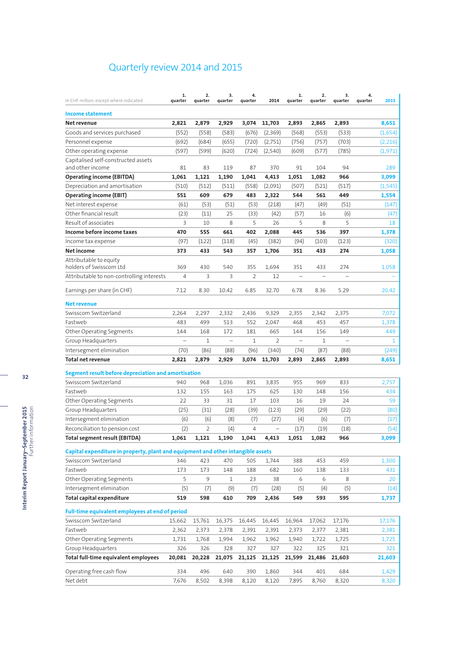# Quarterly review 2014 and 2015

| 2,821<br>2,879<br>2,929<br>3,074<br>11,703<br>2,893<br>2,893<br>8,651<br>Net revenue<br>2,865<br>Goods and services purchased<br>(552)<br>(558)<br>(583)<br>(676)<br>(2,369)<br>(568)<br>(553)<br>(533)<br>(1,654)<br>(692)<br>Personnel expense<br>(684)<br>(655)<br>(720)<br>(2,751)<br>(756)<br>(757)<br>(703)<br>(2,216)<br>(597)<br>(599)<br>(724)<br>(785)<br>Other operating expense<br>(620)<br>(2,540)<br>(609)<br>(577)<br>(1, 971)<br>Capitalised self-constructed assets<br>and other income<br>83<br>119<br>87<br>91<br>104<br>94<br>289<br>81<br>370<br>1,061<br>4,413<br><b>Operating income (EBITDA)</b><br>1,121<br>1,190<br>1,041<br>1,051<br>1,082<br>966<br>3,099<br>Depreciation and amortisation<br>(510)<br>(512)<br>(511)<br>(558)<br>(2,091)<br>(507)<br>(521)<br>(517)<br>(1, 545)<br>551<br>609<br>679<br>483<br>2,322<br>544<br>561<br>449<br>1,554<br>(61)<br>(53)<br>(51)<br>(53)<br>(218)<br>(47)<br>(49)<br>(51)<br>(147)<br>(23)<br>(11)<br>25<br>(33)<br>(42)<br>(57)<br>(6)<br>(47)<br>16<br>3<br>8<br>5<br>5<br>26<br>5<br>8<br>10<br>18<br>470<br>555<br>661<br>402<br>2,088<br>445<br>536<br>397<br>1,378<br>(45)<br>(97)<br>(122)<br>(382)<br>(94)<br>(320)<br>(118)<br>(103)<br>(123)<br>373<br>433<br>543<br>357<br>1,706<br>351<br>433<br>274<br>1,058<br>holders of Swisscom Ltd<br>369<br>355<br>351<br>274<br>430<br>540<br>1,694<br>433<br>1,058<br>3<br>$\overline{4}$<br>3<br>2<br>12<br>÷<br>7.12<br>8.30<br>10.42<br>6.85<br>32.70<br>6.78<br>8.36<br>5.29<br>Earnings per share (in CHF)<br>20.42<br><b>Net revenue</b><br>2,264<br>2,297<br>2,332<br>9,329<br>2,375<br>7,072<br>2,436<br>2,355<br>2,342<br>499<br>513<br>552<br>457<br>483<br>2,047<br>468<br>453<br>1,378<br>172<br>449<br>Other Operating Segments<br>144<br>168<br>181<br>665<br>144<br>156<br>149<br>Group Headquarters<br>$\mathbf{1}$<br>$\overline{\phantom{0}}$<br>1<br>2<br>۳<br>1<br>$\overline{\phantom{0}}$<br>1<br>(70)<br>(86)<br>(88)<br>(88)<br>(96)<br>(340)<br>(74)<br>(87)<br>(249)<br>2,821<br>2,879<br>2,929<br>3,074<br>11,703<br>2,893<br>2,893<br>8,651<br>2,865<br>Segment result before depreciation and amortisation<br>940<br>968<br>1,036<br>891<br>3,835<br>955<br>969<br>833<br>2,757<br>132<br>155<br>163<br>175<br>625<br>130<br>148<br>156<br>434<br>Other Operating Segments<br>22<br>33<br>31<br>103<br>19<br>24<br>59<br>17<br>16<br>(25)<br>(31)<br>(28)<br>(39)<br>(123)<br>(29)<br>(29)<br>(22)<br>(80)<br>(6)<br>(6)<br>(8)<br>(7)<br>(27)<br>(4)<br>(6)<br>(7)<br>(17)<br>(2)<br>$\overline{2}$<br>(4)<br>4<br>(19)<br>Reconciliation to pension cost<br>(17)<br>(18)<br>(54)<br>$\overline{\phantom{0}}$<br>1,121<br>1,190<br>1,041<br>3,099<br>1.061<br>4,413<br>1,051<br>1,082<br>966<br>Capital expenditure in property, plant and equipment and other intangible assets<br>Swisscom Switzerland<br>346<br>423<br>470<br>388<br>1,300<br>505<br>1,744<br>453<br>459<br>Fastweb<br>173<br>173<br>148<br>188<br>682<br>160<br>138<br>133<br>431<br>Other Operating Segments<br>5<br>9<br>23<br>38<br>6<br>6<br>8<br>1<br>20<br>Intersegment elimination<br>(7)<br>(9)<br>(7)<br>(5)<br>(5)<br>(5)<br>(28)<br>(4)<br>(14)<br><b>Total capital expenditure</b><br>598<br>709<br>519<br>610<br>2,436<br>549<br>593<br>595<br>1,737<br>Full-time equivalent employees at end of period<br>Swisscom Switzerland<br>15,761<br>17,176<br>15,662<br>16,375<br>16,445<br>16,445<br>16,964<br>17,062<br>17,176<br>Fastweb<br>2,373<br>2,362<br>2,378<br>2,391<br>2,391<br>2,373<br>2,377<br>2,381<br>2,381<br>Other Operating Segments<br>1,731<br>1,768<br>1,994<br>1,962<br>1,962<br>1,940<br>1,722<br>1,725<br>1,725<br>Group Headquarters<br>326<br>326<br>328<br>327<br>327<br>322<br>325<br>321<br>321<br>20,081<br>20,228<br>21,075<br>21,125<br>21,125<br>21,486<br>21,603<br>21,603<br>21,599<br>Operating free cash flow<br>496<br>640<br>401<br>684<br>334<br>390<br>1,860<br>344<br>1,429 | In CHF million, except where indicated    | 1.<br>quarter | 2.<br>quarter | 3.<br>quarter | 4.<br>quarter | 2014  | 1.<br>quarter | 2.<br>quarter | 3.<br>quarter | 4.<br>quarter | 2015  |
|-------------------------------------------------------------------------------------------------------------------------------------------------------------------------------------------------------------------------------------------------------------------------------------------------------------------------------------------------------------------------------------------------------------------------------------------------------------------------------------------------------------------------------------------------------------------------------------------------------------------------------------------------------------------------------------------------------------------------------------------------------------------------------------------------------------------------------------------------------------------------------------------------------------------------------------------------------------------------------------------------------------------------------------------------------------------------------------------------------------------------------------------------------------------------------------------------------------------------------------------------------------------------------------------------------------------------------------------------------------------------------------------------------------------------------------------------------------------------------------------------------------------------------------------------------------------------------------------------------------------------------------------------------------------------------------------------------------------------------------------------------------------------------------------------------------------------------------------------------------------------------------------------------------------------------------------------------------------------------------------------------------------------------------------------------------------------------------------------------------------------------------------------------------------------------------------------------------------------------------------------------------------------------------------------------------------------------------------------------------------------------------------------------------------------------------------------------------------------------------------------------------------------------------------------------------------------------------------------------------------------------------------------------------------------------------------------------------------------------------------------------------------------------------------------------------------------------------------------------------------------------------------------------------------------------------------------------------------------------------------------------------------------------------------------------------------------------------------------------------------------------------------------------------------------------------------------------------------------------------------------------------------------------------------------------------------------------------------------------------------------------------------------------------------------------------------------------------------------------------------------------------------------------------------------------------------------------------------------------------------------------------------------------------------------------------------------------------------------------------------------------------------------------------------------------------------------------------------------------------------------------------------------------------------------------------------------------------|-------------------------------------------|---------------|---------------|---------------|---------------|-------|---------------|---------------|---------------|---------------|-------|
|                                                                                                                                                                                                                                                                                                                                                                                                                                                                                                                                                                                                                                                                                                                                                                                                                                                                                                                                                                                                                                                                                                                                                                                                                                                                                                                                                                                                                                                                                                                                                                                                                                                                                                                                                                                                                                                                                                                                                                                                                                                                                                                                                                                                                                                                                                                                                                                                                                                                                                                                                                                                                                                                                                                                                                                                                                                                                                                                                                                                                                                                                                                                                                                                                                                                                                                                                                                                                                                                                                                                                                                                                                                                                                                                                                                                                                                                                                                                                             | Income statement                          |               |               |               |               |       |               |               |               |               |       |
|                                                                                                                                                                                                                                                                                                                                                                                                                                                                                                                                                                                                                                                                                                                                                                                                                                                                                                                                                                                                                                                                                                                                                                                                                                                                                                                                                                                                                                                                                                                                                                                                                                                                                                                                                                                                                                                                                                                                                                                                                                                                                                                                                                                                                                                                                                                                                                                                                                                                                                                                                                                                                                                                                                                                                                                                                                                                                                                                                                                                                                                                                                                                                                                                                                                                                                                                                                                                                                                                                                                                                                                                                                                                                                                                                                                                                                                                                                                                                             |                                           |               |               |               |               |       |               |               |               |               |       |
|                                                                                                                                                                                                                                                                                                                                                                                                                                                                                                                                                                                                                                                                                                                                                                                                                                                                                                                                                                                                                                                                                                                                                                                                                                                                                                                                                                                                                                                                                                                                                                                                                                                                                                                                                                                                                                                                                                                                                                                                                                                                                                                                                                                                                                                                                                                                                                                                                                                                                                                                                                                                                                                                                                                                                                                                                                                                                                                                                                                                                                                                                                                                                                                                                                                                                                                                                                                                                                                                                                                                                                                                                                                                                                                                                                                                                                                                                                                                                             |                                           |               |               |               |               |       |               |               |               |               |       |
|                                                                                                                                                                                                                                                                                                                                                                                                                                                                                                                                                                                                                                                                                                                                                                                                                                                                                                                                                                                                                                                                                                                                                                                                                                                                                                                                                                                                                                                                                                                                                                                                                                                                                                                                                                                                                                                                                                                                                                                                                                                                                                                                                                                                                                                                                                                                                                                                                                                                                                                                                                                                                                                                                                                                                                                                                                                                                                                                                                                                                                                                                                                                                                                                                                                                                                                                                                                                                                                                                                                                                                                                                                                                                                                                                                                                                                                                                                                                                             |                                           |               |               |               |               |       |               |               |               |               |       |
|                                                                                                                                                                                                                                                                                                                                                                                                                                                                                                                                                                                                                                                                                                                                                                                                                                                                                                                                                                                                                                                                                                                                                                                                                                                                                                                                                                                                                                                                                                                                                                                                                                                                                                                                                                                                                                                                                                                                                                                                                                                                                                                                                                                                                                                                                                                                                                                                                                                                                                                                                                                                                                                                                                                                                                                                                                                                                                                                                                                                                                                                                                                                                                                                                                                                                                                                                                                                                                                                                                                                                                                                                                                                                                                                                                                                                                                                                                                                                             |                                           |               |               |               |               |       |               |               |               |               |       |
|                                                                                                                                                                                                                                                                                                                                                                                                                                                                                                                                                                                                                                                                                                                                                                                                                                                                                                                                                                                                                                                                                                                                                                                                                                                                                                                                                                                                                                                                                                                                                                                                                                                                                                                                                                                                                                                                                                                                                                                                                                                                                                                                                                                                                                                                                                                                                                                                                                                                                                                                                                                                                                                                                                                                                                                                                                                                                                                                                                                                                                                                                                                                                                                                                                                                                                                                                                                                                                                                                                                                                                                                                                                                                                                                                                                                                                                                                                                                                             |                                           |               |               |               |               |       |               |               |               |               |       |
|                                                                                                                                                                                                                                                                                                                                                                                                                                                                                                                                                                                                                                                                                                                                                                                                                                                                                                                                                                                                                                                                                                                                                                                                                                                                                                                                                                                                                                                                                                                                                                                                                                                                                                                                                                                                                                                                                                                                                                                                                                                                                                                                                                                                                                                                                                                                                                                                                                                                                                                                                                                                                                                                                                                                                                                                                                                                                                                                                                                                                                                                                                                                                                                                                                                                                                                                                                                                                                                                                                                                                                                                                                                                                                                                                                                                                                                                                                                                                             |                                           |               |               |               |               |       |               |               |               |               |       |
|                                                                                                                                                                                                                                                                                                                                                                                                                                                                                                                                                                                                                                                                                                                                                                                                                                                                                                                                                                                                                                                                                                                                                                                                                                                                                                                                                                                                                                                                                                                                                                                                                                                                                                                                                                                                                                                                                                                                                                                                                                                                                                                                                                                                                                                                                                                                                                                                                                                                                                                                                                                                                                                                                                                                                                                                                                                                                                                                                                                                                                                                                                                                                                                                                                                                                                                                                                                                                                                                                                                                                                                                                                                                                                                                                                                                                                                                                                                                                             |                                           |               |               |               |               |       |               |               |               |               |       |
|                                                                                                                                                                                                                                                                                                                                                                                                                                                                                                                                                                                                                                                                                                                                                                                                                                                                                                                                                                                                                                                                                                                                                                                                                                                                                                                                                                                                                                                                                                                                                                                                                                                                                                                                                                                                                                                                                                                                                                                                                                                                                                                                                                                                                                                                                                                                                                                                                                                                                                                                                                                                                                                                                                                                                                                                                                                                                                                                                                                                                                                                                                                                                                                                                                                                                                                                                                                                                                                                                                                                                                                                                                                                                                                                                                                                                                                                                                                                                             |                                           |               |               |               |               |       |               |               |               |               |       |
|                                                                                                                                                                                                                                                                                                                                                                                                                                                                                                                                                                                                                                                                                                                                                                                                                                                                                                                                                                                                                                                                                                                                                                                                                                                                                                                                                                                                                                                                                                                                                                                                                                                                                                                                                                                                                                                                                                                                                                                                                                                                                                                                                                                                                                                                                                                                                                                                                                                                                                                                                                                                                                                                                                                                                                                                                                                                                                                                                                                                                                                                                                                                                                                                                                                                                                                                                                                                                                                                                                                                                                                                                                                                                                                                                                                                                                                                                                                                                             | <b>Operating income (EBIT)</b>            |               |               |               |               |       |               |               |               |               |       |
|                                                                                                                                                                                                                                                                                                                                                                                                                                                                                                                                                                                                                                                                                                                                                                                                                                                                                                                                                                                                                                                                                                                                                                                                                                                                                                                                                                                                                                                                                                                                                                                                                                                                                                                                                                                                                                                                                                                                                                                                                                                                                                                                                                                                                                                                                                                                                                                                                                                                                                                                                                                                                                                                                                                                                                                                                                                                                                                                                                                                                                                                                                                                                                                                                                                                                                                                                                                                                                                                                                                                                                                                                                                                                                                                                                                                                                                                                                                                                             | Net interest expense                      |               |               |               |               |       |               |               |               |               |       |
|                                                                                                                                                                                                                                                                                                                                                                                                                                                                                                                                                                                                                                                                                                                                                                                                                                                                                                                                                                                                                                                                                                                                                                                                                                                                                                                                                                                                                                                                                                                                                                                                                                                                                                                                                                                                                                                                                                                                                                                                                                                                                                                                                                                                                                                                                                                                                                                                                                                                                                                                                                                                                                                                                                                                                                                                                                                                                                                                                                                                                                                                                                                                                                                                                                                                                                                                                                                                                                                                                                                                                                                                                                                                                                                                                                                                                                                                                                                                                             | Other financial result                    |               |               |               |               |       |               |               |               |               |       |
|                                                                                                                                                                                                                                                                                                                                                                                                                                                                                                                                                                                                                                                                                                                                                                                                                                                                                                                                                                                                                                                                                                                                                                                                                                                                                                                                                                                                                                                                                                                                                                                                                                                                                                                                                                                                                                                                                                                                                                                                                                                                                                                                                                                                                                                                                                                                                                                                                                                                                                                                                                                                                                                                                                                                                                                                                                                                                                                                                                                                                                                                                                                                                                                                                                                                                                                                                                                                                                                                                                                                                                                                                                                                                                                                                                                                                                                                                                                                                             | Result of associates                      |               |               |               |               |       |               |               |               |               |       |
|                                                                                                                                                                                                                                                                                                                                                                                                                                                                                                                                                                                                                                                                                                                                                                                                                                                                                                                                                                                                                                                                                                                                                                                                                                                                                                                                                                                                                                                                                                                                                                                                                                                                                                                                                                                                                                                                                                                                                                                                                                                                                                                                                                                                                                                                                                                                                                                                                                                                                                                                                                                                                                                                                                                                                                                                                                                                                                                                                                                                                                                                                                                                                                                                                                                                                                                                                                                                                                                                                                                                                                                                                                                                                                                                                                                                                                                                                                                                                             | Income before income taxes                |               |               |               |               |       |               |               |               |               |       |
|                                                                                                                                                                                                                                                                                                                                                                                                                                                                                                                                                                                                                                                                                                                                                                                                                                                                                                                                                                                                                                                                                                                                                                                                                                                                                                                                                                                                                                                                                                                                                                                                                                                                                                                                                                                                                                                                                                                                                                                                                                                                                                                                                                                                                                                                                                                                                                                                                                                                                                                                                                                                                                                                                                                                                                                                                                                                                                                                                                                                                                                                                                                                                                                                                                                                                                                                                                                                                                                                                                                                                                                                                                                                                                                                                                                                                                                                                                                                                             | Income tax expense                        |               |               |               |               |       |               |               |               |               |       |
|                                                                                                                                                                                                                                                                                                                                                                                                                                                                                                                                                                                                                                                                                                                                                                                                                                                                                                                                                                                                                                                                                                                                                                                                                                                                                                                                                                                                                                                                                                                                                                                                                                                                                                                                                                                                                                                                                                                                                                                                                                                                                                                                                                                                                                                                                                                                                                                                                                                                                                                                                                                                                                                                                                                                                                                                                                                                                                                                                                                                                                                                                                                                                                                                                                                                                                                                                                                                                                                                                                                                                                                                                                                                                                                                                                                                                                                                                                                                                             | Net income                                |               |               |               |               |       |               |               |               |               |       |
|                                                                                                                                                                                                                                                                                                                                                                                                                                                                                                                                                                                                                                                                                                                                                                                                                                                                                                                                                                                                                                                                                                                                                                                                                                                                                                                                                                                                                                                                                                                                                                                                                                                                                                                                                                                                                                                                                                                                                                                                                                                                                                                                                                                                                                                                                                                                                                                                                                                                                                                                                                                                                                                                                                                                                                                                                                                                                                                                                                                                                                                                                                                                                                                                                                                                                                                                                                                                                                                                                                                                                                                                                                                                                                                                                                                                                                                                                                                                                             | Attributable to equity                    |               |               |               |               |       |               |               |               |               |       |
|                                                                                                                                                                                                                                                                                                                                                                                                                                                                                                                                                                                                                                                                                                                                                                                                                                                                                                                                                                                                                                                                                                                                                                                                                                                                                                                                                                                                                                                                                                                                                                                                                                                                                                                                                                                                                                                                                                                                                                                                                                                                                                                                                                                                                                                                                                                                                                                                                                                                                                                                                                                                                                                                                                                                                                                                                                                                                                                                                                                                                                                                                                                                                                                                                                                                                                                                                                                                                                                                                                                                                                                                                                                                                                                                                                                                                                                                                                                                                             |                                           |               |               |               |               |       |               |               |               |               |       |
|                                                                                                                                                                                                                                                                                                                                                                                                                                                                                                                                                                                                                                                                                                                                                                                                                                                                                                                                                                                                                                                                                                                                                                                                                                                                                                                                                                                                                                                                                                                                                                                                                                                                                                                                                                                                                                                                                                                                                                                                                                                                                                                                                                                                                                                                                                                                                                                                                                                                                                                                                                                                                                                                                                                                                                                                                                                                                                                                                                                                                                                                                                                                                                                                                                                                                                                                                                                                                                                                                                                                                                                                                                                                                                                                                                                                                                                                                                                                                             | Attributable to non-controlling interests |               |               |               |               |       |               |               |               |               |       |
|                                                                                                                                                                                                                                                                                                                                                                                                                                                                                                                                                                                                                                                                                                                                                                                                                                                                                                                                                                                                                                                                                                                                                                                                                                                                                                                                                                                                                                                                                                                                                                                                                                                                                                                                                                                                                                                                                                                                                                                                                                                                                                                                                                                                                                                                                                                                                                                                                                                                                                                                                                                                                                                                                                                                                                                                                                                                                                                                                                                                                                                                                                                                                                                                                                                                                                                                                                                                                                                                                                                                                                                                                                                                                                                                                                                                                                                                                                                                                             |                                           |               |               |               |               |       |               |               |               |               |       |
|                                                                                                                                                                                                                                                                                                                                                                                                                                                                                                                                                                                                                                                                                                                                                                                                                                                                                                                                                                                                                                                                                                                                                                                                                                                                                                                                                                                                                                                                                                                                                                                                                                                                                                                                                                                                                                                                                                                                                                                                                                                                                                                                                                                                                                                                                                                                                                                                                                                                                                                                                                                                                                                                                                                                                                                                                                                                                                                                                                                                                                                                                                                                                                                                                                                                                                                                                                                                                                                                                                                                                                                                                                                                                                                                                                                                                                                                                                                                                             |                                           |               |               |               |               |       |               |               |               |               |       |
|                                                                                                                                                                                                                                                                                                                                                                                                                                                                                                                                                                                                                                                                                                                                                                                                                                                                                                                                                                                                                                                                                                                                                                                                                                                                                                                                                                                                                                                                                                                                                                                                                                                                                                                                                                                                                                                                                                                                                                                                                                                                                                                                                                                                                                                                                                                                                                                                                                                                                                                                                                                                                                                                                                                                                                                                                                                                                                                                                                                                                                                                                                                                                                                                                                                                                                                                                                                                                                                                                                                                                                                                                                                                                                                                                                                                                                                                                                                                                             |                                           |               |               |               |               |       |               |               |               |               |       |
|                                                                                                                                                                                                                                                                                                                                                                                                                                                                                                                                                                                                                                                                                                                                                                                                                                                                                                                                                                                                                                                                                                                                                                                                                                                                                                                                                                                                                                                                                                                                                                                                                                                                                                                                                                                                                                                                                                                                                                                                                                                                                                                                                                                                                                                                                                                                                                                                                                                                                                                                                                                                                                                                                                                                                                                                                                                                                                                                                                                                                                                                                                                                                                                                                                                                                                                                                                                                                                                                                                                                                                                                                                                                                                                                                                                                                                                                                                                                                             | Swisscom Switzerland                      |               |               |               |               |       |               |               |               |               |       |
|                                                                                                                                                                                                                                                                                                                                                                                                                                                                                                                                                                                                                                                                                                                                                                                                                                                                                                                                                                                                                                                                                                                                                                                                                                                                                                                                                                                                                                                                                                                                                                                                                                                                                                                                                                                                                                                                                                                                                                                                                                                                                                                                                                                                                                                                                                                                                                                                                                                                                                                                                                                                                                                                                                                                                                                                                                                                                                                                                                                                                                                                                                                                                                                                                                                                                                                                                                                                                                                                                                                                                                                                                                                                                                                                                                                                                                                                                                                                                             | Fastweb                                   |               |               |               |               |       |               |               |               |               |       |
|                                                                                                                                                                                                                                                                                                                                                                                                                                                                                                                                                                                                                                                                                                                                                                                                                                                                                                                                                                                                                                                                                                                                                                                                                                                                                                                                                                                                                                                                                                                                                                                                                                                                                                                                                                                                                                                                                                                                                                                                                                                                                                                                                                                                                                                                                                                                                                                                                                                                                                                                                                                                                                                                                                                                                                                                                                                                                                                                                                                                                                                                                                                                                                                                                                                                                                                                                                                                                                                                                                                                                                                                                                                                                                                                                                                                                                                                                                                                                             |                                           |               |               |               |               |       |               |               |               |               |       |
|                                                                                                                                                                                                                                                                                                                                                                                                                                                                                                                                                                                                                                                                                                                                                                                                                                                                                                                                                                                                                                                                                                                                                                                                                                                                                                                                                                                                                                                                                                                                                                                                                                                                                                                                                                                                                                                                                                                                                                                                                                                                                                                                                                                                                                                                                                                                                                                                                                                                                                                                                                                                                                                                                                                                                                                                                                                                                                                                                                                                                                                                                                                                                                                                                                                                                                                                                                                                                                                                                                                                                                                                                                                                                                                                                                                                                                                                                                                                                             |                                           |               |               |               |               |       |               |               |               |               |       |
|                                                                                                                                                                                                                                                                                                                                                                                                                                                                                                                                                                                                                                                                                                                                                                                                                                                                                                                                                                                                                                                                                                                                                                                                                                                                                                                                                                                                                                                                                                                                                                                                                                                                                                                                                                                                                                                                                                                                                                                                                                                                                                                                                                                                                                                                                                                                                                                                                                                                                                                                                                                                                                                                                                                                                                                                                                                                                                                                                                                                                                                                                                                                                                                                                                                                                                                                                                                                                                                                                                                                                                                                                                                                                                                                                                                                                                                                                                                                                             | Intersegment elimination                  |               |               |               |               |       |               |               |               |               |       |
|                                                                                                                                                                                                                                                                                                                                                                                                                                                                                                                                                                                                                                                                                                                                                                                                                                                                                                                                                                                                                                                                                                                                                                                                                                                                                                                                                                                                                                                                                                                                                                                                                                                                                                                                                                                                                                                                                                                                                                                                                                                                                                                                                                                                                                                                                                                                                                                                                                                                                                                                                                                                                                                                                                                                                                                                                                                                                                                                                                                                                                                                                                                                                                                                                                                                                                                                                                                                                                                                                                                                                                                                                                                                                                                                                                                                                                                                                                                                                             | Total net revenue                         |               |               |               |               |       |               |               |               |               |       |
|                                                                                                                                                                                                                                                                                                                                                                                                                                                                                                                                                                                                                                                                                                                                                                                                                                                                                                                                                                                                                                                                                                                                                                                                                                                                                                                                                                                                                                                                                                                                                                                                                                                                                                                                                                                                                                                                                                                                                                                                                                                                                                                                                                                                                                                                                                                                                                                                                                                                                                                                                                                                                                                                                                                                                                                                                                                                                                                                                                                                                                                                                                                                                                                                                                                                                                                                                                                                                                                                                                                                                                                                                                                                                                                                                                                                                                                                                                                                                             |                                           |               |               |               |               |       |               |               |               |               |       |
|                                                                                                                                                                                                                                                                                                                                                                                                                                                                                                                                                                                                                                                                                                                                                                                                                                                                                                                                                                                                                                                                                                                                                                                                                                                                                                                                                                                                                                                                                                                                                                                                                                                                                                                                                                                                                                                                                                                                                                                                                                                                                                                                                                                                                                                                                                                                                                                                                                                                                                                                                                                                                                                                                                                                                                                                                                                                                                                                                                                                                                                                                                                                                                                                                                                                                                                                                                                                                                                                                                                                                                                                                                                                                                                                                                                                                                                                                                                                                             | Swisscom Switzerland                      |               |               |               |               |       |               |               |               |               |       |
|                                                                                                                                                                                                                                                                                                                                                                                                                                                                                                                                                                                                                                                                                                                                                                                                                                                                                                                                                                                                                                                                                                                                                                                                                                                                                                                                                                                                                                                                                                                                                                                                                                                                                                                                                                                                                                                                                                                                                                                                                                                                                                                                                                                                                                                                                                                                                                                                                                                                                                                                                                                                                                                                                                                                                                                                                                                                                                                                                                                                                                                                                                                                                                                                                                                                                                                                                                                                                                                                                                                                                                                                                                                                                                                                                                                                                                                                                                                                                             | Fastweb                                   |               |               |               |               |       |               |               |               |               |       |
|                                                                                                                                                                                                                                                                                                                                                                                                                                                                                                                                                                                                                                                                                                                                                                                                                                                                                                                                                                                                                                                                                                                                                                                                                                                                                                                                                                                                                                                                                                                                                                                                                                                                                                                                                                                                                                                                                                                                                                                                                                                                                                                                                                                                                                                                                                                                                                                                                                                                                                                                                                                                                                                                                                                                                                                                                                                                                                                                                                                                                                                                                                                                                                                                                                                                                                                                                                                                                                                                                                                                                                                                                                                                                                                                                                                                                                                                                                                                                             |                                           |               |               |               |               |       |               |               |               |               |       |
|                                                                                                                                                                                                                                                                                                                                                                                                                                                                                                                                                                                                                                                                                                                                                                                                                                                                                                                                                                                                                                                                                                                                                                                                                                                                                                                                                                                                                                                                                                                                                                                                                                                                                                                                                                                                                                                                                                                                                                                                                                                                                                                                                                                                                                                                                                                                                                                                                                                                                                                                                                                                                                                                                                                                                                                                                                                                                                                                                                                                                                                                                                                                                                                                                                                                                                                                                                                                                                                                                                                                                                                                                                                                                                                                                                                                                                                                                                                                                             | Group Headquarters                        |               |               |               |               |       |               |               |               |               |       |
|                                                                                                                                                                                                                                                                                                                                                                                                                                                                                                                                                                                                                                                                                                                                                                                                                                                                                                                                                                                                                                                                                                                                                                                                                                                                                                                                                                                                                                                                                                                                                                                                                                                                                                                                                                                                                                                                                                                                                                                                                                                                                                                                                                                                                                                                                                                                                                                                                                                                                                                                                                                                                                                                                                                                                                                                                                                                                                                                                                                                                                                                                                                                                                                                                                                                                                                                                                                                                                                                                                                                                                                                                                                                                                                                                                                                                                                                                                                                                             | Intersegment elimination                  |               |               |               |               |       |               |               |               |               |       |
|                                                                                                                                                                                                                                                                                                                                                                                                                                                                                                                                                                                                                                                                                                                                                                                                                                                                                                                                                                                                                                                                                                                                                                                                                                                                                                                                                                                                                                                                                                                                                                                                                                                                                                                                                                                                                                                                                                                                                                                                                                                                                                                                                                                                                                                                                                                                                                                                                                                                                                                                                                                                                                                                                                                                                                                                                                                                                                                                                                                                                                                                                                                                                                                                                                                                                                                                                                                                                                                                                                                                                                                                                                                                                                                                                                                                                                                                                                                                                             |                                           |               |               |               |               |       |               |               |               |               |       |
|                                                                                                                                                                                                                                                                                                                                                                                                                                                                                                                                                                                                                                                                                                                                                                                                                                                                                                                                                                                                                                                                                                                                                                                                                                                                                                                                                                                                                                                                                                                                                                                                                                                                                                                                                                                                                                                                                                                                                                                                                                                                                                                                                                                                                                                                                                                                                                                                                                                                                                                                                                                                                                                                                                                                                                                                                                                                                                                                                                                                                                                                                                                                                                                                                                                                                                                                                                                                                                                                                                                                                                                                                                                                                                                                                                                                                                                                                                                                                             | Total segment result (EBITDA)             |               |               |               |               |       |               |               |               |               |       |
|                                                                                                                                                                                                                                                                                                                                                                                                                                                                                                                                                                                                                                                                                                                                                                                                                                                                                                                                                                                                                                                                                                                                                                                                                                                                                                                                                                                                                                                                                                                                                                                                                                                                                                                                                                                                                                                                                                                                                                                                                                                                                                                                                                                                                                                                                                                                                                                                                                                                                                                                                                                                                                                                                                                                                                                                                                                                                                                                                                                                                                                                                                                                                                                                                                                                                                                                                                                                                                                                                                                                                                                                                                                                                                                                                                                                                                                                                                                                                             |                                           |               |               |               |               |       |               |               |               |               |       |
|                                                                                                                                                                                                                                                                                                                                                                                                                                                                                                                                                                                                                                                                                                                                                                                                                                                                                                                                                                                                                                                                                                                                                                                                                                                                                                                                                                                                                                                                                                                                                                                                                                                                                                                                                                                                                                                                                                                                                                                                                                                                                                                                                                                                                                                                                                                                                                                                                                                                                                                                                                                                                                                                                                                                                                                                                                                                                                                                                                                                                                                                                                                                                                                                                                                                                                                                                                                                                                                                                                                                                                                                                                                                                                                                                                                                                                                                                                                                                             |                                           |               |               |               |               |       |               |               |               |               |       |
|                                                                                                                                                                                                                                                                                                                                                                                                                                                                                                                                                                                                                                                                                                                                                                                                                                                                                                                                                                                                                                                                                                                                                                                                                                                                                                                                                                                                                                                                                                                                                                                                                                                                                                                                                                                                                                                                                                                                                                                                                                                                                                                                                                                                                                                                                                                                                                                                                                                                                                                                                                                                                                                                                                                                                                                                                                                                                                                                                                                                                                                                                                                                                                                                                                                                                                                                                                                                                                                                                                                                                                                                                                                                                                                                                                                                                                                                                                                                                             |                                           |               |               |               |               |       |               |               |               |               |       |
|                                                                                                                                                                                                                                                                                                                                                                                                                                                                                                                                                                                                                                                                                                                                                                                                                                                                                                                                                                                                                                                                                                                                                                                                                                                                                                                                                                                                                                                                                                                                                                                                                                                                                                                                                                                                                                                                                                                                                                                                                                                                                                                                                                                                                                                                                                                                                                                                                                                                                                                                                                                                                                                                                                                                                                                                                                                                                                                                                                                                                                                                                                                                                                                                                                                                                                                                                                                                                                                                                                                                                                                                                                                                                                                                                                                                                                                                                                                                                             |                                           |               |               |               |               |       |               |               |               |               |       |
|                                                                                                                                                                                                                                                                                                                                                                                                                                                                                                                                                                                                                                                                                                                                                                                                                                                                                                                                                                                                                                                                                                                                                                                                                                                                                                                                                                                                                                                                                                                                                                                                                                                                                                                                                                                                                                                                                                                                                                                                                                                                                                                                                                                                                                                                                                                                                                                                                                                                                                                                                                                                                                                                                                                                                                                                                                                                                                                                                                                                                                                                                                                                                                                                                                                                                                                                                                                                                                                                                                                                                                                                                                                                                                                                                                                                                                                                                                                                                             |                                           |               |               |               |               |       |               |               |               |               |       |
|                                                                                                                                                                                                                                                                                                                                                                                                                                                                                                                                                                                                                                                                                                                                                                                                                                                                                                                                                                                                                                                                                                                                                                                                                                                                                                                                                                                                                                                                                                                                                                                                                                                                                                                                                                                                                                                                                                                                                                                                                                                                                                                                                                                                                                                                                                                                                                                                                                                                                                                                                                                                                                                                                                                                                                                                                                                                                                                                                                                                                                                                                                                                                                                                                                                                                                                                                                                                                                                                                                                                                                                                                                                                                                                                                                                                                                                                                                                                                             |                                           |               |               |               |               |       |               |               |               |               |       |
|                                                                                                                                                                                                                                                                                                                                                                                                                                                                                                                                                                                                                                                                                                                                                                                                                                                                                                                                                                                                                                                                                                                                                                                                                                                                                                                                                                                                                                                                                                                                                                                                                                                                                                                                                                                                                                                                                                                                                                                                                                                                                                                                                                                                                                                                                                                                                                                                                                                                                                                                                                                                                                                                                                                                                                                                                                                                                                                                                                                                                                                                                                                                                                                                                                                                                                                                                                                                                                                                                                                                                                                                                                                                                                                                                                                                                                                                                                                                                             |                                           |               |               |               |               |       |               |               |               |               |       |
|                                                                                                                                                                                                                                                                                                                                                                                                                                                                                                                                                                                                                                                                                                                                                                                                                                                                                                                                                                                                                                                                                                                                                                                                                                                                                                                                                                                                                                                                                                                                                                                                                                                                                                                                                                                                                                                                                                                                                                                                                                                                                                                                                                                                                                                                                                                                                                                                                                                                                                                                                                                                                                                                                                                                                                                                                                                                                                                                                                                                                                                                                                                                                                                                                                                                                                                                                                                                                                                                                                                                                                                                                                                                                                                                                                                                                                                                                                                                                             |                                           |               |               |               |               |       |               |               |               |               |       |
|                                                                                                                                                                                                                                                                                                                                                                                                                                                                                                                                                                                                                                                                                                                                                                                                                                                                                                                                                                                                                                                                                                                                                                                                                                                                                                                                                                                                                                                                                                                                                                                                                                                                                                                                                                                                                                                                                                                                                                                                                                                                                                                                                                                                                                                                                                                                                                                                                                                                                                                                                                                                                                                                                                                                                                                                                                                                                                                                                                                                                                                                                                                                                                                                                                                                                                                                                                                                                                                                                                                                                                                                                                                                                                                                                                                                                                                                                                                                                             |                                           |               |               |               |               |       |               |               |               |               |       |
|                                                                                                                                                                                                                                                                                                                                                                                                                                                                                                                                                                                                                                                                                                                                                                                                                                                                                                                                                                                                                                                                                                                                                                                                                                                                                                                                                                                                                                                                                                                                                                                                                                                                                                                                                                                                                                                                                                                                                                                                                                                                                                                                                                                                                                                                                                                                                                                                                                                                                                                                                                                                                                                                                                                                                                                                                                                                                                                                                                                                                                                                                                                                                                                                                                                                                                                                                                                                                                                                                                                                                                                                                                                                                                                                                                                                                                                                                                                                                             |                                           |               |               |               |               |       |               |               |               |               |       |
|                                                                                                                                                                                                                                                                                                                                                                                                                                                                                                                                                                                                                                                                                                                                                                                                                                                                                                                                                                                                                                                                                                                                                                                                                                                                                                                                                                                                                                                                                                                                                                                                                                                                                                                                                                                                                                                                                                                                                                                                                                                                                                                                                                                                                                                                                                                                                                                                                                                                                                                                                                                                                                                                                                                                                                                                                                                                                                                                                                                                                                                                                                                                                                                                                                                                                                                                                                                                                                                                                                                                                                                                                                                                                                                                                                                                                                                                                                                                                             |                                           |               |               |               |               |       |               |               |               |               |       |
|                                                                                                                                                                                                                                                                                                                                                                                                                                                                                                                                                                                                                                                                                                                                                                                                                                                                                                                                                                                                                                                                                                                                                                                                                                                                                                                                                                                                                                                                                                                                                                                                                                                                                                                                                                                                                                                                                                                                                                                                                                                                                                                                                                                                                                                                                                                                                                                                                                                                                                                                                                                                                                                                                                                                                                                                                                                                                                                                                                                                                                                                                                                                                                                                                                                                                                                                                                                                                                                                                                                                                                                                                                                                                                                                                                                                                                                                                                                                                             |                                           |               |               |               |               |       |               |               |               |               |       |
|                                                                                                                                                                                                                                                                                                                                                                                                                                                                                                                                                                                                                                                                                                                                                                                                                                                                                                                                                                                                                                                                                                                                                                                                                                                                                                                                                                                                                                                                                                                                                                                                                                                                                                                                                                                                                                                                                                                                                                                                                                                                                                                                                                                                                                                                                                                                                                                                                                                                                                                                                                                                                                                                                                                                                                                                                                                                                                                                                                                                                                                                                                                                                                                                                                                                                                                                                                                                                                                                                                                                                                                                                                                                                                                                                                                                                                                                                                                                                             | Total full-time equivalent employees      |               |               |               |               |       |               |               |               |               |       |
|                                                                                                                                                                                                                                                                                                                                                                                                                                                                                                                                                                                                                                                                                                                                                                                                                                                                                                                                                                                                                                                                                                                                                                                                                                                                                                                                                                                                                                                                                                                                                                                                                                                                                                                                                                                                                                                                                                                                                                                                                                                                                                                                                                                                                                                                                                                                                                                                                                                                                                                                                                                                                                                                                                                                                                                                                                                                                                                                                                                                                                                                                                                                                                                                                                                                                                                                                                                                                                                                                                                                                                                                                                                                                                                                                                                                                                                                                                                                                             |                                           |               |               |               |               |       |               |               |               |               |       |
|                                                                                                                                                                                                                                                                                                                                                                                                                                                                                                                                                                                                                                                                                                                                                                                                                                                                                                                                                                                                                                                                                                                                                                                                                                                                                                                                                                                                                                                                                                                                                                                                                                                                                                                                                                                                                                                                                                                                                                                                                                                                                                                                                                                                                                                                                                                                                                                                                                                                                                                                                                                                                                                                                                                                                                                                                                                                                                                                                                                                                                                                                                                                                                                                                                                                                                                                                                                                                                                                                                                                                                                                                                                                                                                                                                                                                                                                                                                                                             | Net debt                                  | 7,676         | 8,502         | 8,398         | 8,120         | 8,120 | 7,895         | 8,760         | 8,320         |               | 8,320 |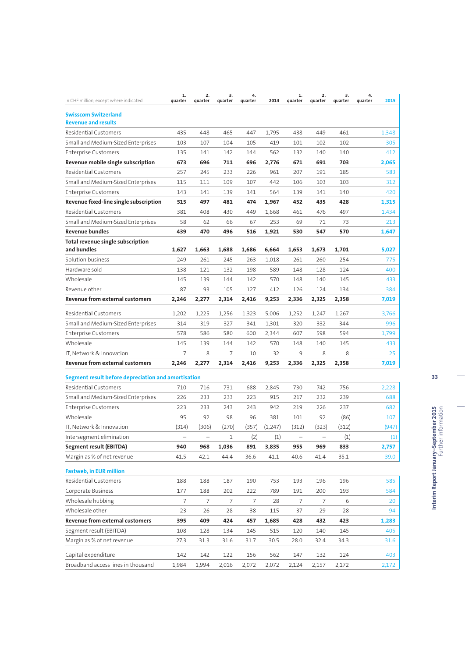| In CHF million, except where indicated                    | 1.<br>quarter | 2.<br>quarter | 3.<br>quarter | 4.<br>quarter | 2014    | 1.<br>quarter            | 2.<br>quarter | 3.<br>quarter | 4.<br>quarter | 2015  |
|-----------------------------------------------------------|---------------|---------------|---------------|---------------|---------|--------------------------|---------------|---------------|---------------|-------|
| <b>Swisscom Switzerland</b><br><b>Revenue and results</b> |               |               |               |               |         |                          |               |               |               |       |
| <b>Residential Customers</b>                              | 435           | 448           | 465           | 447           | 1,795   | 438                      | 449           | 461           |               | 1,348 |
| Small and Medium-Sized Enterprises                        | 103           | 107           | 104           | 105           | 419     | 101                      | 102           | 102           |               | 305   |
| <b>Enterprise Customers</b>                               | 135           | 141           | 142           | 144           | 562     | 132                      | 140           | 140           |               | 412   |
| Revenue mobile single subscription                        | 673           | 696           | 711           | 696           | 2,776   | 671                      | 691           | 703           |               | 2,065 |
| <b>Residential Customers</b>                              | 257           | 245           | 233           | 226           | 961     | 207                      | 191           | 185           |               | 583   |
| Small and Medium-Sized Enterprises                        | 115           | 111           | 109           | 107           | 442     | 106                      | 103           | 103           |               | 312   |
| Enterprise Customers                                      | 143           | 141           | 139           | 141           | 564     | 139                      | 141           | 140           |               | 420   |
| Revenue fixed-line single subscription                    | 515           | 497           | 481           | 474           | 1,967   | 452                      | 435           | 428           |               | 1,315 |
| <b>Residential Customers</b>                              | 381           | 408           | 430           | 449           | 1,668   | 461                      | 476           | 497           |               | 1,434 |
| Small and Medium-Sized Enterprises                        | 58            | 62            | 66            | 67            | 253     | 69                       | 71            | 73            |               | 213   |
| Revenue bundles                                           | 439           | 470           | 496           | 516           | 1,921   | 530                      | 547           | 570           |               | 1,647 |
| Total revenue single subscription                         |               |               |               |               |         |                          |               |               |               |       |
| and bundles                                               | 1,627         | 1,663         | 1,688         | 1,686         | 6,664   | 1,653                    | 1,673         | 1,701         |               | 5,027 |
| Solution business                                         | 249           | 261           | 245           | 263           | 1,018   | 261                      | 260           | 254           |               | 775   |
| Hardware sold                                             | 138           | 121           | 132           | 198           | 589     | 148                      | 128           | 124           |               | 400   |
| Wholesale                                                 | 145           | 139           | 144           | 142           | 570     | 148                      | 140           | 145           |               | 433   |
| Revenue other                                             | 87            | 93            | 105           | 127           | 412     | 126                      | 124           | 134           |               | 384   |
| <b>Revenue from external customers</b>                    | 2,246         | 2,277         | 2,314         | 2,416         | 9,253   | 2,336                    | 2,325         | 2,358         |               | 7,019 |
| <b>Residential Customers</b>                              | 1,202         | 1,225         | 1,256         | 1,323         | 5,006   | 1,252                    | 1,247         | 1,267         |               | 3,766 |
| Small and Medium-Sized Enterprises                        | 314           | 319           | 327           | 341           | 1,301   | 320                      | 332           | 344           |               | 996   |
| <b>Enterprise Customers</b>                               | 578           | 586           | 580           | 600           | 2,344   | 607                      | 598           | 594           |               | 1,799 |
| Wholesale                                                 | 145           | 139           | 144           | 142           | 570     | 148                      | 140           | 145           |               | 433   |
| IT, Network & Innovation                                  | 7             | 8             | 7             | 10            | 32      | 9                        | 8             | 8             |               | 25    |
| Revenue from external customers                           | 2,246         | 2,277         | 2,314         | 2,416         | 9,253   | 2,336                    | 2,325         | 2,358         |               | 7,019 |
|                                                           |               |               |               |               |         |                          |               |               |               |       |
| Segment result before depreciation and amortisation       |               |               |               |               |         |                          |               |               |               |       |
| <b>Residential Customers</b>                              | 710           | 716           | 731           | 688           | 2,845   | 730                      | 742           | 756           |               | 2,228 |
| Small and Medium-Sized Enterprises                        | 226           | 233           | 233           | 223           | 915     | 217                      | 232           | 239           |               | 688   |
| <b>Enterprise Customers</b>                               | 223           | 233           | 243           | 243           | 942     | 219                      | 226           | 237           |               | 682   |
| Wholesale                                                 | 95            | 92            | 98            | 96            | 381     | 101                      | 92            | (86)          |               | 107   |
| IT, Network & Innovation                                  | (314)         | (306)         | (270)         | (357)         | (1,247) | (312)                    | (323)         | (312)         |               | (947) |
| Intersegment elimination                                  |               |               | 1             | (2)           | (1)     | $\overline{\phantom{0}}$ |               | (1)           |               | (1)   |
| Segment result (EBITDA)                                   | 940           | 968           | 1,036         | 891           | 3,835   | 955                      | 969           | 833           |               | 2,757 |
| Margin as % of net revenue                                | 41.5          | 42.1          | 44.4          | 36.6          | 41.1    | 40.6                     | 41.4          | 35.1          |               | 39.0  |
| <b>Fastweb, in EUR million</b>                            |               |               |               |               |         |                          |               |               |               |       |
| <b>Residential Customers</b>                              | 188           | 188           | 187           | 190           | 753     | 193                      | 196           | 196           |               | 585   |
| Corporate Business                                        | 177           | 188           | 202           | 222           | 789     | 191                      | 200           | 193           |               | 584   |
| Wholesale hubbing                                         | 7             | 7             | 7             | 7             | 28      | 7                        | 7             | 6             |               | 20    |
| Wholesale other                                           | 23            | 26            | 28            | 38            | 115     | 37                       | 29            | 28            |               | 94    |
| <b>Revenue from external customers</b>                    | 395           | 409           | 424           | 457           | 1,685   | 428                      | 432           | 423           |               | 1,283 |
| Segment result (EBITDA)                                   | 108           | 128           | 134           | 145           | 515     | 120                      | 140           | 145           |               | 405   |
| Margin as % of net revenue                                | 27.3          | 31.3          | 31.6          | 31.7          | 30.5    | 28.0                     | 32.4          | 34.3          |               | 31.6  |
| Capital expenditure                                       | 142           | 142           | 122           | 156           | 562     | 147                      | 132           | 124           |               | 403   |
| Broadband access lines in thousand                        | 1,984         | 1,994         | 2,016         | 2,072         | 2,072   | 2,124                    | 2,157         | 2,172         |               | 2,172 |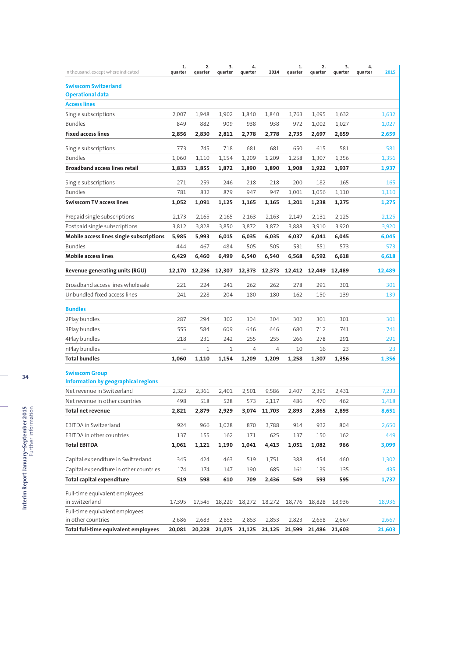| In thousand, except where indicated                    | 1.<br>quarter | 2.<br>quarter | 3.<br>quarter | 4.<br>quarter | 2014   | 1.<br>quarter | $\overline{2}$ .<br>quarter | 3.<br>quarter | 4.<br>2015<br>quarter |
|--------------------------------------------------------|---------------|---------------|---------------|---------------|--------|---------------|-----------------------------|---------------|-----------------------|
| <b>Swisscom Switzerland</b><br><b>Operational data</b> |               |               |               |               |        |               |                             |               |                       |
| <b>Access lines</b>                                    |               |               |               |               |        |               |                             |               |                       |
| Single subscriptions                                   | 2,007         | 1,948         | 1,902         | 1,840         | 1,840  | 1,763         | 1,695                       | 1,632         | 1,632                 |
| <b>Bundles</b>                                         | 849           | 882           | 909           | 938           | 938    | 972           | 1,002                       | 1,027         | 1,027                 |
| <b>Fixed access lines</b>                              | 2,856         | 2,830         | 2,811         | 2,778         | 2,778  | 2,735         | 2,697                       | 2,659         | 2,659                 |
| Single subscriptions                                   | 773           | 745           | 718           | 681           | 681    | 650           | 615                         | 581           | 581                   |
| <b>Bundles</b>                                         | 1,060         | 1,110         | 1,154         | 1,209         | 1,209  | 1,258         | 1,307                       | 1,356         | 1,356                 |
| <b>Broadband access lines retail</b>                   | 1,833         | 1,855         | 1,872         | 1,890         | 1,890  | 1,908         | 1,922                       | 1,937         | 1,937                 |
| Single subscriptions                                   | 271           | 259           | 246           | 218           | 218    | 200           | 182                         | 165           | 165                   |
| <b>Bundles</b>                                         | 781           | 832           | 879           | 947           | 947    | 1,001         | 1,056                       | 1,110         | 1,110                 |
| <b>Swisscom TV access lines</b>                        | 1,052         | 1,091         | 1,125         | 1,165         | 1,165  | 1,201         | 1,238                       | 1,275         | 1,275                 |
| Prepaid single subscriptions                           | 2,173         | 2,165         | 2,165         | 2,163         | 2,163  | 2,149         | 2,131                       | 2,125         | 2,125                 |
| Postpaid single subscriptions                          | 3,812         | 3,828         | 3,850         | 3,872         | 3,872  | 3,888         | 3,910                       | 3,920         | 3,920                 |
| Mobile access lines single subscriptions               | 5,985         | 5,993         | 6,015         | 6,035         | 6,035  | 6,037         | 6,041                       | 6,045         | 6,045                 |
| <b>Bundles</b>                                         | 444           | 467           | 484           | 505           | 505    | 531           | 551                         | 573           | 573                   |
| <b>Mobile access lines</b>                             | 6,429         | 6,460         | 6,499         | 6,540         | 6,540  | 6,568         | 6,592                       | 6,618         | 6,618                 |
| Revenue generating units (RGU)                         | 12,170        | 12,236        | 12,307        | 12,373        | 12,373 | 12,412        | 12,449                      | 12.489        | 12,489                |
| Broadband access lines wholesale                       | 221           | 224           | 241           | 262           | 262    | 278           | 291                         | 301           | 301                   |
| Unbundled fixed access lines                           | 241           | 228           | 204           | 180           | 180    | 162           | 150                         | 139           | 139                   |
| <b>Bundles</b>                                         |               |               |               |               |        |               |                             |               |                       |
| 2Play bundles                                          | 287           | 294           | 302           | 304           | 304    | 302           | 301                         | 301           | 301                   |
| 3Play bundles                                          | 555           | 584           | 609           | 646           | 646    | 680           | 712                         | 741           | 741                   |
| 4Play bundles                                          | 218           | 231           | 242           | 255           | 255    | 266           | 278                         | 291           | 291                   |
| nPlay bundles                                          |               | 1             | 1             | 4             | 4      | 10            | 16                          | 23            | 23                    |
| <b>Total bundles</b>                                   | 1,060         | 1,110         | 1,154         | 1,209         | 1,209  | 1,258         | 1,307                       | 1,356         | 1,356                 |
| <b>Swisscom Group</b>                                  |               |               |               |               |        |               |                             |               |                       |
| <b>Information by geographical regions</b>             |               |               |               |               |        |               |                             |               |                       |
| Net revenue in Switzerland                             | 2,323         | 2,361         | 2,401         | 2,501         | 9,586  | 2,407         | 2,395                       | 2,431         | 7,233                 |
| Net revenue in other countries                         | 498           | 518           | 528           | 573           | 2,117  | 486           | 470                         | 462           | 1,418                 |
| <b>Total net revenue</b>                               | 2,821         | 2,879         | 2,929         | 3,074         | 11,703 | 2,893         | 2,865                       | 2,893         | 8,651                 |
| EBITDA in Switzerland                                  | 924           | 966           | 1,028         | 870           | 3,788  | 914           | 932                         | 804           | 2,650                 |
| EBITDA in other countries                              | 137           | 155           | 162           | 171           | 625    | 137           | 150                         | 162           | 449                   |
| <b>Total EBITDA</b>                                    | 1,061         | 1,121         | 1,190         | 1,041         | 4,413  | 1,051         | 1,082                       | 966           | 3,099                 |
| Capital expenditure in Switzerland                     | 345           | 424           | 463           | 519           | 1,751  | 388           | 454                         | 460           | 1,302                 |
| Capital expenditure in other countries                 | 174           | 174           | 147           | 190           | 685    | 161           | 139                         | 135           | 435                   |
| <b>Total capital expenditure</b>                       | 519           | 598           | 610           | 709           | 2,436  | 549           | 593                         | 595           | 1,737                 |
| Full-time equivalent employees<br>in Switzerland       | 17,395        | 17,545        | 18,220        | 18,272        | 18,272 | 18,776        | 18,828                      | 18,936        | 18,936                |
| Full-time equivalent employees                         |               |               |               |               |        |               |                             |               |                       |
| in other countries                                     | 2,686         | 2,683         | 2,855         | 2,853         | 2,853  | 2,823         | 2,658                       | 2,667         | 2,667                 |
| Total full-time equivalent employees                   | 20,081        | 20,228        | 21,075        | 21,125        | 21,125 | 21,599        | 21,486                      | 21,603        | 21,603                |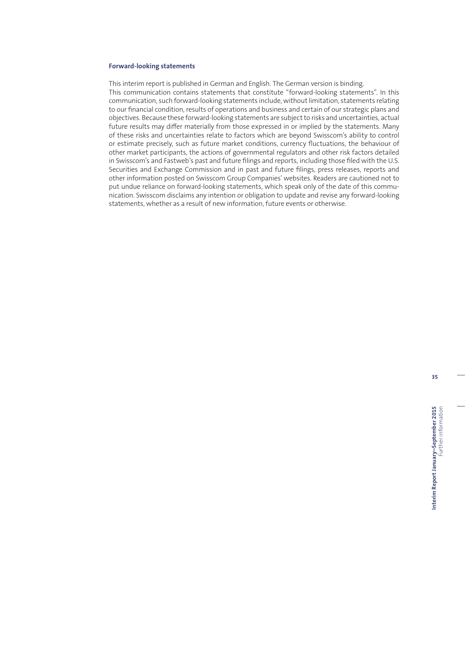### **Forward-looking statements**

This interim report is published in German and English. The German version is binding. This communication contains statements that constitute "forward-looking statements". In this communication, such forward-looking statements include, without limitation, statements relating to our financial condition, results of operations and business and certain of our strategic plans and objectives. Because these forward-looking statements are subject to risks and uncertainties, actual future results may differ materially from those expressed in or implied by the statements. Many of these risks and uncertainties relate to factors which are beyond Swisscom's ability to control or estimate precisely, such as future market conditions, currency fluctuations, the behaviour of other market participants, the actions of governmental regulators and other risk factors detailed in Swisscom's and Fastweb's past and future filings and reports, including those filed with the U.S. Securities and Exchange Commission and in past and future filings, press releases, reports and other information posted on Swisscom Group Companies' websites. Readers are cautioned not to put undue reliance on forward-looking statements, which speak only of the date of this communication. Swisscom disclaims any intention or obligation to update and revise any forward-looking statements, whether as a result of new information, future events or otherwise.

**35**